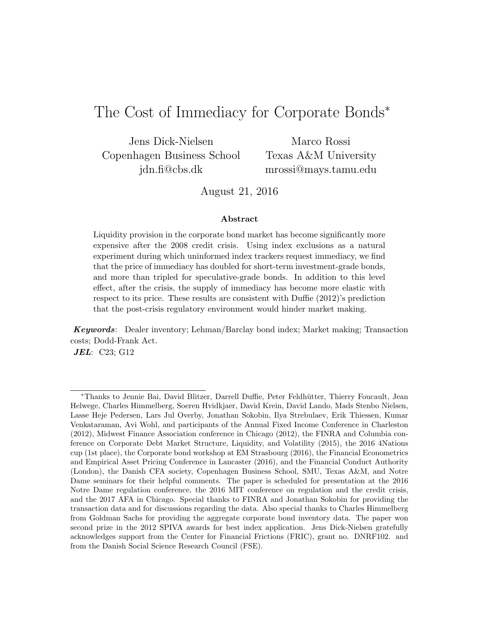# The Cost of Immediacy for Corporate Bonds<sup>\*</sup>

Jens Dick-Nielsen Copenhagen Business School jdn.fi@cbs.dk

Marco Rossi Texas A&M University mrossi@mays.tamu.edu

August 21, 2016

#### Abstract

Liquidity provision in the corporate bond market has become significantly more expensive after the 2008 credit crisis. Using index exclusions as a natural experiment during which uninformed index trackers request immediacy, we find that the price of immediacy has doubled for short-term investment-grade bonds, and more than tripled for speculative-grade bonds. In addition to this level effect, after the crisis, the supply of immediacy has become more elastic with respect to its price. These results are consistent with Duffie (2012)'s prediction that the post-crisis regulatory environment would hinder market making.

**Keywords:** Dealer inventory; Lehman/Barclay bond index; Market making; Transaction costs; Dodd-Frank Act.

**JEL**: C23; G12

<sup>\*</sup>Thanks to Jennie Bai, David Blitzer, Darrell Duffie, Peter Feldhütter, Thierry Foucault, Jean Helwege, Charles Himmelberg, Soeren Hvidkjaer, David Krein, David Lando, Mads Stenbo Nielsen, Lasse Heje Pedersen, Lars Jul Overby, Jonathan Sokobin, Ilya Strebulaev, Erik Thiessen, Kumar Venkataraman, Avi Wohl, and participants of the Annual Fixed Income Conference in Charleston (2012), Midwest Finance Association conference in Chicago (2012), the FINRA and Columbia conference on Corporate Debt Market Structure, Liquidity, and Volatility (2015), the 2016 4Nations cup (1st place), the Corporate bond workshop at EM Strasbourg (2016), the Financial Econometrics and Empirical Asset Pricing Conference in Lancaster (2016), and the Financial Conduct Authority (London), the Danish CFA society, Copenhagen Business School, SMU, Texas A&M, and Notre Dame seminars for their helpful comments. The paper is scheduled for presentation at the 2016 Notre Dame regulation conference, the 2016 MIT conference on regulation and the credit crisis, and the 2017 AFA in Chicago. Special thanks to FINRA and Jonathan Sokobin for providing the transaction data and for discussions regarding the data. Also special thanks to Charles Himmelberg from Goldman Sachs for providing the aggregate corporate bond inventory data. The paper won second prize in the 2012 SPIVA awards for best index application. Jens Dick-Nielsen gratefully acknowledges support from the Center for Financial Frictions (FRIC), grant no. DNRF102. and from the Danish Social Science Research Council (FSE).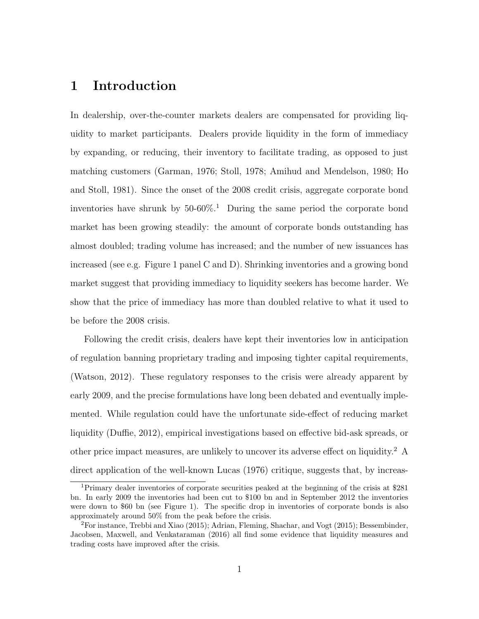## 1 Introduction

In dealership, over-the-counter markets dealers are compensated for providing liquidity to market participants. Dealers provide liquidity in the form of immediacy by expanding, or reducing, their inventory to facilitate trading, as opposed to just matching customers (Garman, 1976; Stoll, 1978; Amihud and Mendelson, 1980; Ho and Stoll, 1981). Since the onset of the 2008 credit crisis, aggregate corporate bond inventories have shrunk by  $50-60\%$ .<sup>1</sup> During the same period the corporate bond market has been growing steadily: the amount of corporate bonds outstanding has almost doubled; trading volume has increased; and the number of new issuances has increased (see e.g. Figure 1 panel C and D). Shrinking inventories and a growing bond market suggest that providing immediacy to liquidity seekers has become harder. We show that the price of immediacy has more than doubled relative to what it used to be before the 2008 crisis.

Following the credit crisis, dealers have kept their inventories low in anticipation of regulation banning proprietary trading and imposing tighter capital requirements, (Watson, 2012). These regulatory responses to the crisis were already apparent by early 2009, and the precise formulations have long been debated and eventually implemented. While regulation could have the unfortunate side-effect of reducing market liquidity (Duffie, 2012), empirical investigations based on effective bid-ask spreads, or other price impact measures, are unlikely to uncover its adverse effect on liquidity.<sup>2</sup> A direct application of the well-known Lucas (1976) critique, suggests that, by increas-

<sup>1</sup>Primary dealer inventories of corporate securities peaked at the beginning of the crisis at \$281 bn. In early 2009 the inventories had been cut to \$100 bn and in September 2012 the inventories were down to \$60 bn (see Figure 1). The specific drop in inventories of corporate bonds is also approximately around 50% from the peak before the crisis.

 ${}^{2}$ For instance, Trebbi and Xiao (2015); Adrian, Fleming, Shachar, and Vogt (2015); Bessembinder, Jacobsen, Maxwell, and Venkataraman (2016) all find some evidence that liquidity measures and trading costs have improved after the crisis.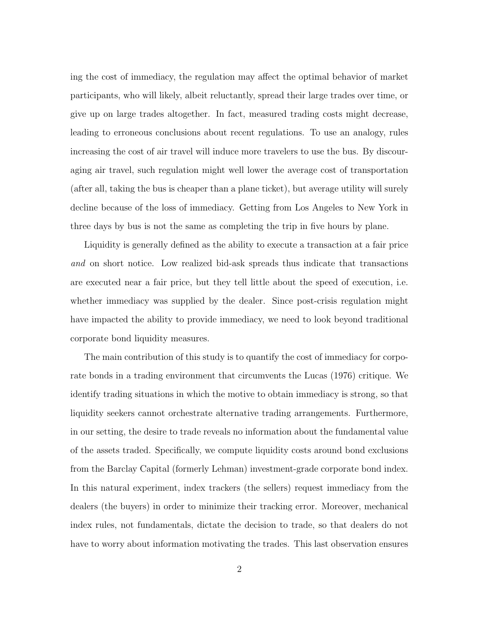ing the cost of immediacy, the regulation may affect the optimal behavior of market participants, who will likely, albeit reluctantly, spread their large trades over time, or give up on large trades altogether. In fact, measured trading costs might decrease, leading to erroneous conclusions about recent regulations. To use an analogy, rules increasing the cost of air travel will induce more travelers to use the bus. By discouraging air travel, such regulation might well lower the average cost of transportation (after all, taking the bus is cheaper than a plane ticket), but average utility will surely decline because of the loss of immediacy. Getting from Los Angeles to New York in three days by bus is not the same as completing the trip in five hours by plane.

Liquidity is generally defined as the ability to execute a transaction at a fair price and on short notice. Low realized bid-ask spreads thus indicate that transactions are executed near a fair price, but they tell little about the speed of execution, i.e. whether immediacy was supplied by the dealer. Since post-crisis regulation might have impacted the ability to provide immediacy, we need to look beyond traditional corporate bond liquidity measures.

The main contribution of this study is to quantify the cost of immediacy for corporate bonds in a trading environment that circumvents the Lucas (1976) critique. We identify trading situations in which the motive to obtain immediacy is strong, so that liquidity seekers cannot orchestrate alternative trading arrangements. Furthermore, in our setting, the desire to trade reveals no information about the fundamental value of the assets traded. Specifically, we compute liquidity costs around bond exclusions from the Barclay Capital (formerly Lehman) investment-grade corporate bond index. In this natural experiment, index trackers (the sellers) request immediacy from the dealers (the buyers) in order to minimize their tracking error. Moreover, mechanical index rules, not fundamentals, dictate the decision to trade, so that dealers do not have to worry about information motivating the trades. This last observation ensures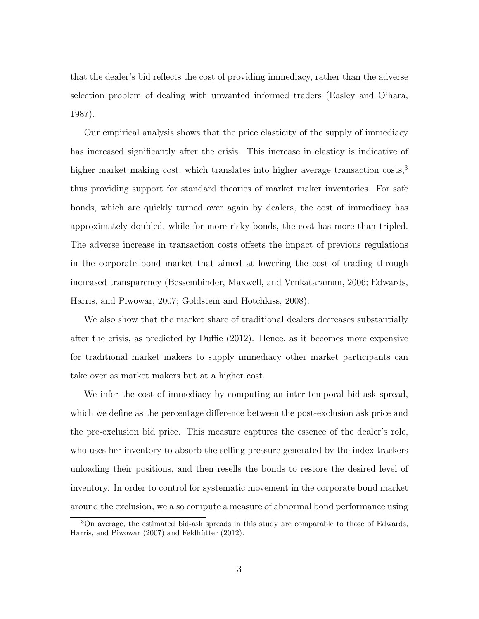that the dealer's bid reflects the cost of providing immediacy, rather than the adverse selection problem of dealing with unwanted informed traders (Easley and O'hara, 1987).

Our empirical analysis shows that the price elasticity of the supply of immediacy has increased significantly after the crisis. This increase in elasticy is indicative of higher market making cost, which translates into higher average transaction costs,<sup>3</sup> thus providing support for standard theories of market maker inventories. For safe bonds, which are quickly turned over again by dealers, the cost of immediacy has approximately doubled, while for more risky bonds, the cost has more than tripled. The adverse increase in transaction costs offsets the impact of previous regulations in the corporate bond market that aimed at lowering the cost of trading through increased transparency (Bessembinder, Maxwell, and Venkataraman, 2006; Edwards, Harris, and Piwowar, 2007; Goldstein and Hotchkiss, 2008).

We also show that the market share of traditional dealers decreases substantially after the crisis, as predicted by Duffie (2012). Hence, as it becomes more expensive for traditional market makers to supply immediacy other market participants can take over as market makers but at a higher cost.

We infer the cost of immediacy by computing an inter-temporal bid-ask spread, which we define as the percentage difference between the post-exclusion ask price and the pre-exclusion bid price. This measure captures the essence of the dealer's role, who uses her inventory to absorb the selling pressure generated by the index trackers unloading their positions, and then resells the bonds to restore the desired level of inventory. In order to control for systematic movement in the corporate bond market around the exclusion, we also compute a measure of abnormal bond performance using

<sup>3</sup>On average, the estimated bid-ask spreads in this study are comparable to those of Edwards, Harris, and Piwowar (2007) and Feldhütter (2012).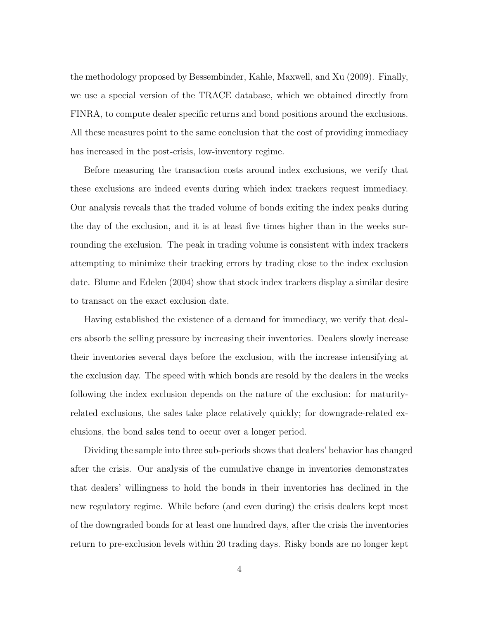the methodology proposed by Bessembinder, Kahle, Maxwell, and Xu (2009). Finally, we use a special version of the TRACE database, which we obtained directly from FINRA, to compute dealer specific returns and bond positions around the exclusions. All these measures point to the same conclusion that the cost of providing immediacy has increased in the post-crisis, low-inventory regime.

Before measuring the transaction costs around index exclusions, we verify that these exclusions are indeed events during which index trackers request immediacy. Our analysis reveals that the traded volume of bonds exiting the index peaks during the day of the exclusion, and it is at least five times higher than in the weeks surrounding the exclusion. The peak in trading volume is consistent with index trackers attempting to minimize their tracking errors by trading close to the index exclusion date. Blume and Edelen (2004) show that stock index trackers display a similar desire to transact on the exact exclusion date.

Having established the existence of a demand for immediacy, we verify that dealers absorb the selling pressure by increasing their inventories. Dealers slowly increase their inventories several days before the exclusion, with the increase intensifying at the exclusion day. The speed with which bonds are resold by the dealers in the weeks following the index exclusion depends on the nature of the exclusion: for maturityrelated exclusions, the sales take place relatively quickly; for downgrade-related exclusions, the bond sales tend to occur over a longer period.

Dividing the sample into three sub-periods shows that dealers' behavior has changed after the crisis. Our analysis of the cumulative change in inventories demonstrates that dealers' willingness to hold the bonds in their inventories has declined in the new regulatory regime. While before (and even during) the crisis dealers kept most of the downgraded bonds for at least one hundred days, after the crisis the inventories return to pre-exclusion levels within 20 trading days. Risky bonds are no longer kept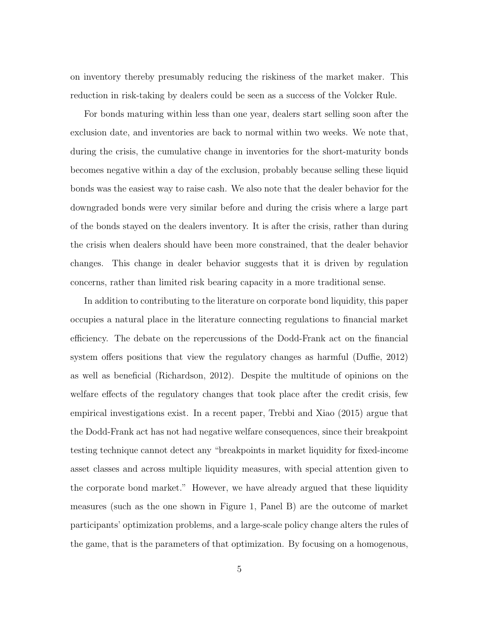on inventory thereby presumably reducing the riskiness of the market maker. This reduction in risk-taking by dealers could be seen as a success of the Volcker Rule.

For bonds maturing within less than one year, dealers start selling soon after the exclusion date, and inventories are back to normal within two weeks. We note that, during the crisis, the cumulative change in inventories for the short-maturity bonds becomes negative within a day of the exclusion, probably because selling these liquid bonds was the easiest way to raise cash. We also note that the dealer behavior for the downgraded bonds were very similar before and during the crisis where a large part of the bonds stayed on the dealers inventory. It is after the crisis, rather than during the crisis when dealers should have been more constrained, that the dealer behavior changes. This change in dealer behavior suggests that it is driven by regulation concerns, rather than limited risk bearing capacity in a more traditional sense.

In addition to contributing to the literature on corporate bond liquidity, this paper occupies a natural place in the literature connecting regulations to financial market efficiency. The debate on the repercussions of the Dodd-Frank act on the financial system offers positions that view the regulatory changes as harmful (Duffie, 2012) as well as beneficial (Richardson, 2012). Despite the multitude of opinions on the welfare effects of the regulatory changes that took place after the credit crisis, few empirical investigations exist. In a recent paper, Trebbi and Xiao (2015) argue that the Dodd-Frank act has not had negative welfare consequences, since their breakpoint testing technique cannot detect any "breakpoints in market liquidity for fixed-income asset classes and across multiple liquidity measures, with special attention given to the corporate bond market." However, we have already argued that these liquidity measures (such as the one shown in Figure 1, Panel B) are the outcome of market participants' optimization problems, and a large-scale policy change alters the rules of the game, that is the parameters of that optimization. By focusing on a homogenous,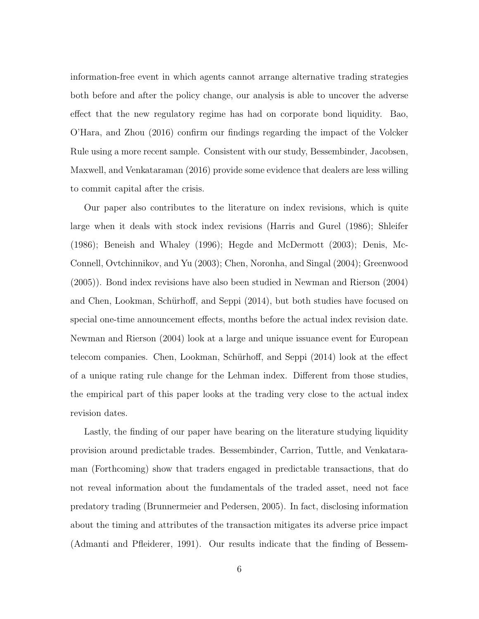information-free event in which agents cannot arrange alternative trading strategies both before and after the policy change, our analysis is able to uncover the adverse effect that the new regulatory regime has had on corporate bond liquidity. Bao, O'Hara, and Zhou (2016) confirm our findings regarding the impact of the Volcker Rule using a more recent sample. Consistent with our study, Bessembinder, Jacobsen, Maxwell, and Venkataraman (2016) provide some evidence that dealers are less willing to commit capital after the crisis.

Our paper also contributes to the literature on index revisions, which is quite large when it deals with stock index revisions (Harris and Gurel (1986); Shleifer (1986); Beneish and Whaley (1996); Hegde and McDermott (2003); Denis, Mc-Connell, Ovtchinnikov, and Yu (2003); Chen, Noronha, and Singal (2004); Greenwood (2005)). Bond index revisions have also been studied in Newman and Rierson (2004) and Chen, Lookman, Schürhoff, and Seppi (2014), but both studies have focused on special one-time announcement effects, months before the actual index revision date. Newman and Rierson (2004) look at a large and unique issuance event for European telecom companies. Chen, Lookman, Schürhoff, and Seppi (2014) look at the effect of a unique rating rule change for the Lehman index. Different from those studies, the empirical part of this paper looks at the trading very close to the actual index revision dates.

Lastly, the finding of our paper have bearing on the literature studying liquidity provision around predictable trades. Bessembinder, Carrion, Tuttle, and Venkataraman (Forthcoming) show that traders engaged in predictable transactions, that do not reveal information about the fundamentals of the traded asset, need not face predatory trading (Brunnermeier and Pedersen, 2005). In fact, disclosing information about the timing and attributes of the transaction mitigates its adverse price impact (Admanti and Pfleiderer, 1991). Our results indicate that the finding of Bessem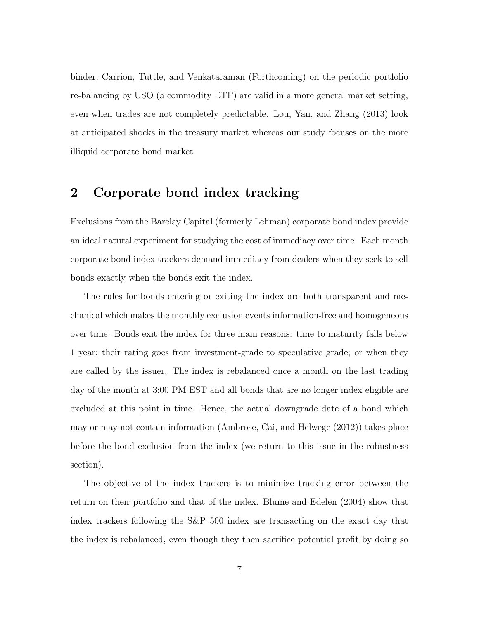binder, Carrion, Tuttle, and Venkataraman (Forthcoming) on the periodic portfolio re-balancing by USO (a commodity ETF) are valid in a more general market setting, even when trades are not completely predictable. Lou, Yan, and Zhang (2013) look at anticipated shocks in the treasury market whereas our study focuses on the more illiquid corporate bond market.

## 2 Corporate bond index tracking

Exclusions from the Barclay Capital (formerly Lehman) corporate bond index provide an ideal natural experiment for studying the cost of immediacy over time. Each month corporate bond index trackers demand immediacy from dealers when they seek to sell bonds exactly when the bonds exit the index.

The rules for bonds entering or exiting the index are both transparent and mechanical which makes the monthly exclusion events information-free and homogeneous over time. Bonds exit the index for three main reasons: time to maturity falls below 1 year; their rating goes from investment-grade to speculative grade; or when they are called by the issuer. The index is rebalanced once a month on the last trading day of the month at 3:00 PM EST and all bonds that are no longer index eligible are excluded at this point in time. Hence, the actual downgrade date of a bond which may or may not contain information (Ambrose, Cai, and Helwege (2012)) takes place before the bond exclusion from the index (we return to this issue in the robustness section).

The objective of the index trackers is to minimize tracking error between the return on their portfolio and that of the index. Blume and Edelen (2004) show that index trackers following the S&P 500 index are transacting on the exact day that the index is rebalanced, even though they then sacrifice potential profit by doing so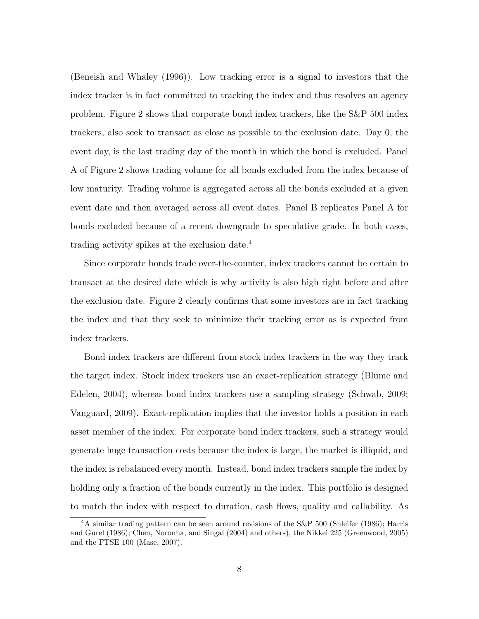(Beneish and Whaley (1996)). Low tracking error is a signal to investors that the index tracker is in fact committed to tracking the index and thus resolves an agency problem. Figure 2 shows that corporate bond index trackers, like the S&P 500 index trackers, also seek to transact as close as possible to the exclusion date. Day 0, the event day, is the last trading day of the month in which the bond is excluded. Panel A of Figure 2 shows trading volume for all bonds excluded from the index because of low maturity. Trading volume is aggregated across all the bonds excluded at a given event date and then averaged across all event dates. Panel B replicates Panel A for bonds excluded because of a recent downgrade to speculative grade. In both cases, trading activity spikes at the exclusion date.<sup>4</sup>

Since corporate bonds trade over-the-counter, index trackers cannot be certain to transact at the desired date which is why activity is also high right before and after the exclusion date. Figure 2 clearly confirms that some investors are in fact tracking the index and that they seek to minimize their tracking error as is expected from index trackers.

Bond index trackers are different from stock index trackers in the way they track the target index. Stock index trackers use an exact-replication strategy (Blume and Edelen, 2004), whereas bond index trackers use a sampling strategy (Schwab, 2009; Vanguard, 2009). Exact-replication implies that the investor holds a position in each asset member of the index. For corporate bond index trackers, such a strategy would generate huge transaction costs because the index is large, the market is illiquid, and the index is rebalanced every month. Instead, bond index trackers sample the index by holding only a fraction of the bonds currently in the index. This portfolio is designed to match the index with respect to duration, cash flows, quality and callability. As

<sup>&</sup>lt;sup>4</sup>A similar trading pattern can be seen around revisions of the S&P 500 (Shleifer (1986); Harris and Gurel (1986); Chen, Noronha, and Singal (2004) and others), the Nikkei 225 (Greenwood, 2005) and the FTSE 100 (Mase, 2007).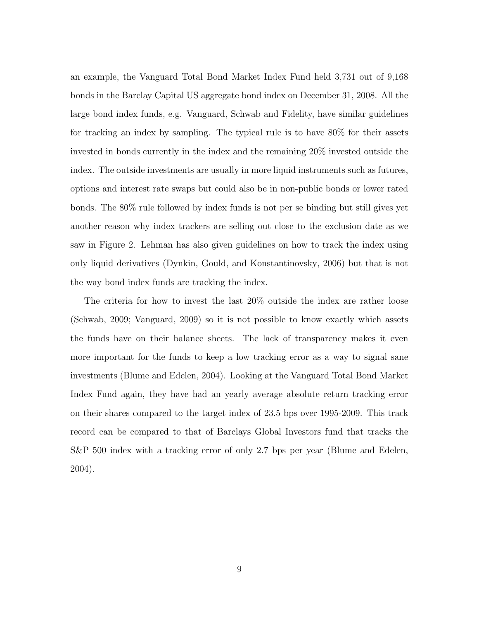an example, the Vanguard Total Bond Market Index Fund held 3,731 out of 9,168 bonds in the Barclay Capital US aggregate bond index on December 31, 2008. All the large bond index funds, e.g. Vanguard, Schwab and Fidelity, have similar guidelines for tracking an index by sampling. The typical rule is to have 80% for their assets invested in bonds currently in the index and the remaining 20% invested outside the index. The outside investments are usually in more liquid instruments such as futures, options and interest rate swaps but could also be in non-public bonds or lower rated bonds. The 80% rule followed by index funds is not per se binding but still gives yet another reason why index trackers are selling out close to the exclusion date as we saw in Figure 2. Lehman has also given guidelines on how to track the index using only liquid derivatives (Dynkin, Gould, and Konstantinovsky, 2006) but that is not the way bond index funds are tracking the index.

The criteria for how to invest the last 20% outside the index are rather loose (Schwab, 2009; Vanguard, 2009) so it is not possible to know exactly which assets the funds have on their balance sheets. The lack of transparency makes it even more important for the funds to keep a low tracking error as a way to signal sane investments (Blume and Edelen, 2004). Looking at the Vanguard Total Bond Market Index Fund again, they have had an yearly average absolute return tracking error on their shares compared to the target index of 23.5 bps over 1995-2009. This track record can be compared to that of Barclays Global Investors fund that tracks the S&P 500 index with a tracking error of only 2.7 bps per year (Blume and Edelen, 2004).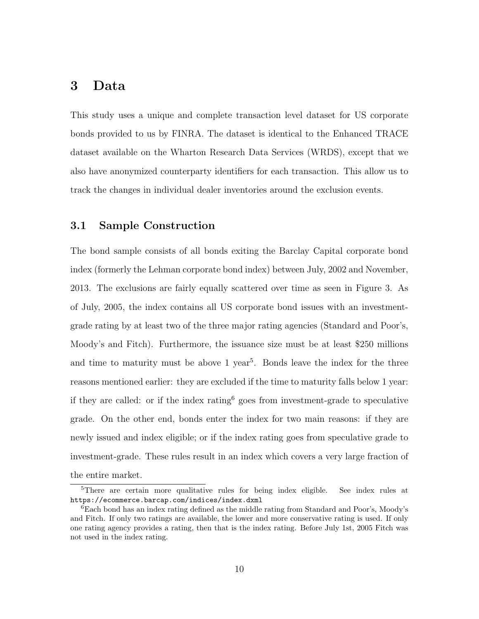## 3 Data

This study uses a unique and complete transaction level dataset for US corporate bonds provided to us by FINRA. The dataset is identical to the Enhanced TRACE dataset available on the Wharton Research Data Services (WRDS), except that we also have anonymized counterparty identifiers for each transaction. This allow us to track the changes in individual dealer inventories around the exclusion events.

### 3.1 Sample Construction

The bond sample consists of all bonds exiting the Barclay Capital corporate bond index (formerly the Lehman corporate bond index) between July, 2002 and November, 2013. The exclusions are fairly equally scattered over time as seen in Figure 3. As of July, 2005, the index contains all US corporate bond issues with an investmentgrade rating by at least two of the three major rating agencies (Standard and Poor's, Moody's and Fitch). Furthermore, the issuance size must be at least \$250 millions and time to maturity must be above  $1 \text{ year}^5$ . Bonds leave the index for the three reasons mentioned earlier: they are excluded if the time to maturity falls below 1 year: if they are called: or if the index rating  $6 \text{ goes from investment-grade to speculative}$ grade. On the other end, bonds enter the index for two main reasons: if they are newly issued and index eligible; or if the index rating goes from speculative grade to investment-grade. These rules result in an index which covers a very large fraction of the entire market.

<sup>5</sup>There are certain more qualitative rules for being index eligible. See index rules at https://ecommerce.barcap.com/indices/index.dxml

<sup>6</sup>Each bond has an index rating defined as the middle rating from Standard and Poor's, Moody's and Fitch. If only two ratings are available, the lower and more conservative rating is used. If only one rating agency provides a rating, then that is the index rating. Before July 1st, 2005 Fitch was not used in the index rating.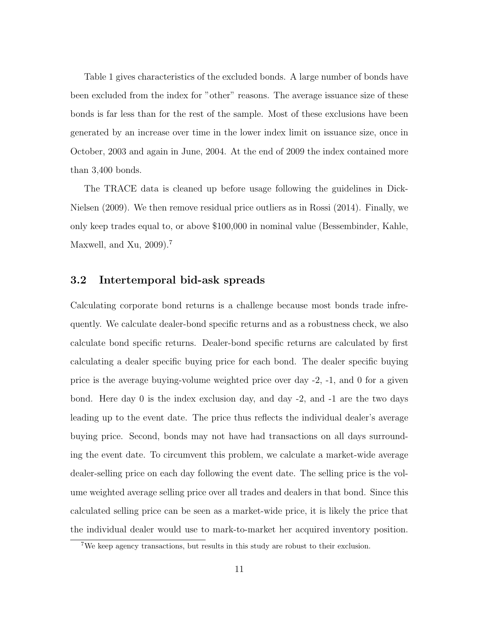Table 1 gives characteristics of the excluded bonds. A large number of bonds have been excluded from the index for "other" reasons. The average issuance size of these bonds is far less than for the rest of the sample. Most of these exclusions have been generated by an increase over time in the lower index limit on issuance size, once in October, 2003 and again in June, 2004. At the end of 2009 the index contained more than 3,400 bonds.

The TRACE data is cleaned up before usage following the guidelines in Dick-Nielsen (2009). We then remove residual price outliers as in Rossi (2014). Finally, we only keep trades equal to, or above \$100,000 in nominal value (Bessembinder, Kahle, Maxwell, and Xu,  $2009$ ).<sup>7</sup>

### 3.2 Intertemporal bid-ask spreads

Calculating corporate bond returns is a challenge because most bonds trade infrequently. We calculate dealer-bond specific returns and as a robustness check, we also calculate bond specific returns. Dealer-bond specific returns are calculated by first calculating a dealer specific buying price for each bond. The dealer specific buying price is the average buying-volume weighted price over day -2, -1, and 0 for a given bond. Here day 0 is the index exclusion day, and day -2, and -1 are the two days leading up to the event date. The price thus reflects the individual dealer's average buying price. Second, bonds may not have had transactions on all days surrounding the event date. To circumvent this problem, we calculate a market-wide average dealer-selling price on each day following the event date. The selling price is the volume weighted average selling price over all trades and dealers in that bond. Since this calculated selling price can be seen as a market-wide price, it is likely the price that the individual dealer would use to mark-to-market her acquired inventory position.

<sup>7</sup>We keep agency transactions, but results in this study are robust to their exclusion.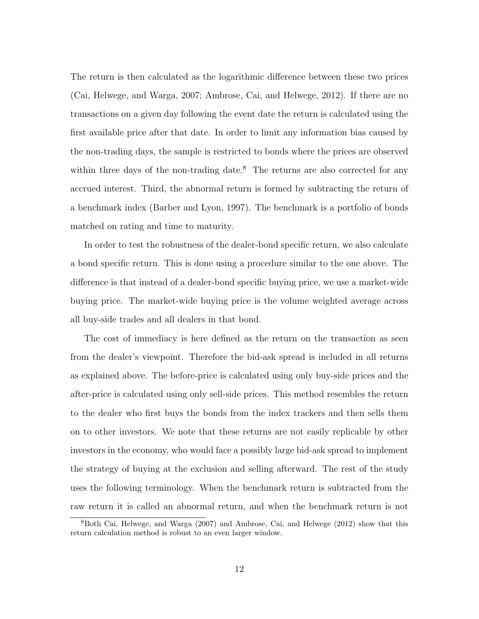The return is then calculated as the logarithmic difference between these two prices (Cai, Helwege, and Warga, 2007; Ambrose, Cai, and Helwege, 2012). If there are no transactions on a given day following the event date the return is calculated using the first available price after that date. In order to limit any information bias caused by the non-trading days, the sample is restricted to bonds where the prices are observed within three days of the non-trading date.<sup>8</sup> The returns are also corrected for any accrued interest. Third, the abnormal return is formed by subtracting the return of a benchmark index (Barber and Lyon, 1997). The benchmark is a portfolio of bonds matched on rating and time to maturity.

In order to test the robustness of the dealer-bond specific return, we also calculate a bond specific return. This is done using a procedure similar to the one above. The difference is that instead of a dealer-bond specific buying price, we use a market-wide buying price. The market-wide buying price is the volume weighted average across all buy-side trades and all dealers in that bond.

The cost of immediacy is here defined as the return on the transaction as seen from the dealer's viewpoint. Therefore the bid-ask spread is included in all returns as explained above. The before-price is calculated using only buy-side prices and the after-price is calculated using only sell-side prices. This method resembles the return to the dealer who first buys the bonds from the index trackers and then sells them on to other investors. We note that these returns are not easily replicable by other investors in the economy, who would face a possibly large bid-ask spread to implement the strategy of buying at the exclusion and selling afterward. The rest of the study uses the following terminology. When the benchmark return is subtracted from the raw return it is called an abnormal return, and when the benchmark return is not

<sup>8</sup>Both Cai, Helwege, and Warga (2007) and Ambrose, Cai, and Helwege (2012) show that this return calculation method is robust to an even larger window.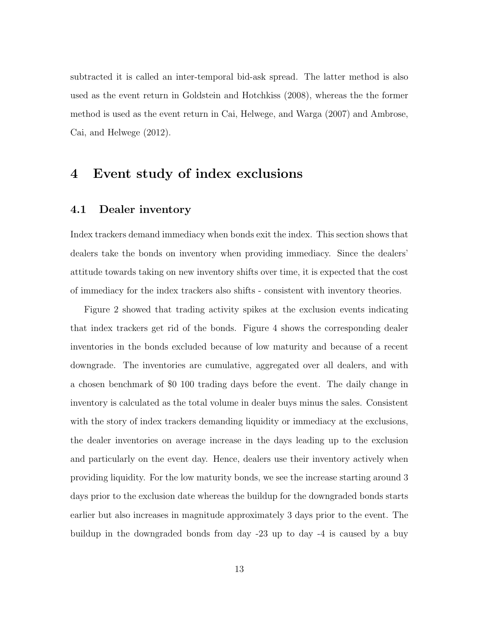subtracted it is called an inter-temporal bid-ask spread. The latter method is also used as the event return in Goldstein and Hotchkiss (2008), whereas the the former method is used as the event return in Cai, Helwege, and Warga (2007) and Ambrose, Cai, and Helwege (2012).

## 4 Event study of index exclusions

#### 4.1 Dealer inventory

Index trackers demand immediacy when bonds exit the index. This section shows that dealers take the bonds on inventory when providing immediacy. Since the dealers' attitude towards taking on new inventory shifts over time, it is expected that the cost of immediacy for the index trackers also shifts - consistent with inventory theories.

Figure 2 showed that trading activity spikes at the exclusion events indicating that index trackers get rid of the bonds. Figure 4 shows the corresponding dealer inventories in the bonds excluded because of low maturity and because of a recent downgrade. The inventories are cumulative, aggregated over all dealers, and with a chosen benchmark of \$0 100 trading days before the event. The daily change in inventory is calculated as the total volume in dealer buys minus the sales. Consistent with the story of index trackers demanding liquidity or immediacy at the exclusions, the dealer inventories on average increase in the days leading up to the exclusion and particularly on the event day. Hence, dealers use their inventory actively when providing liquidity. For the low maturity bonds, we see the increase starting around 3 days prior to the exclusion date whereas the buildup for the downgraded bonds starts earlier but also increases in magnitude approximately 3 days prior to the event. The buildup in the downgraded bonds from day -23 up to day -4 is caused by a buy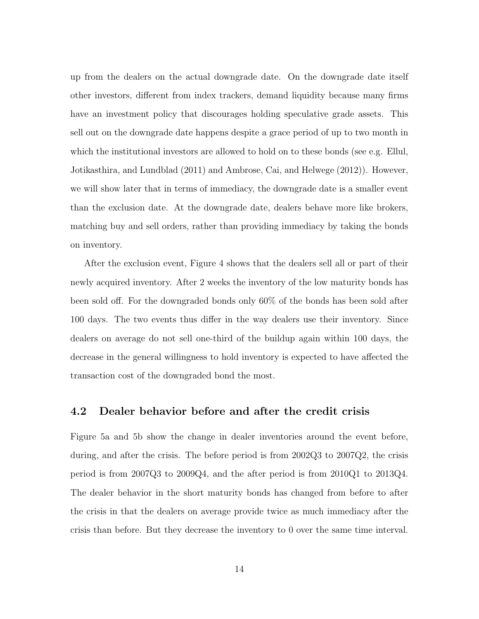up from the dealers on the actual downgrade date. On the downgrade date itself other investors, different from index trackers, demand liquidity because many firms have an investment policy that discourages holding speculative grade assets. This sell out on the downgrade date happens despite a grace period of up to two month in which the institutional investors are allowed to hold on to these bonds (see e.g. Ellul, Jotikasthira, and Lundblad (2011) and Ambrose, Cai, and Helwege (2012)). However, we will show later that in terms of immediacy, the downgrade date is a smaller event than the exclusion date. At the downgrade date, dealers behave more like brokers, matching buy and sell orders, rather than providing immediacy by taking the bonds on inventory.

After the exclusion event, Figure 4 shows that the dealers sell all or part of their newly acquired inventory. After 2 weeks the inventory of the low maturity bonds has been sold off. For the downgraded bonds only 60% of the bonds has been sold after 100 days. The two events thus differ in the way dealers use their inventory. Since dealers on average do not sell one-third of the buildup again within 100 days, the decrease in the general willingness to hold inventory is expected to have affected the transaction cost of the downgraded bond the most.

#### 4.2 Dealer behavior before and after the credit crisis

Figure 5a and 5b show the change in dealer inventories around the event before, during, and after the crisis. The before period is from 2002Q3 to 2007Q2, the crisis period is from 2007Q3 to 2009Q4, and the after period is from 2010Q1 to 2013Q4. The dealer behavior in the short maturity bonds has changed from before to after the crisis in that the dealers on average provide twice as much immediacy after the crisis than before. But they decrease the inventory to 0 over the same time interval.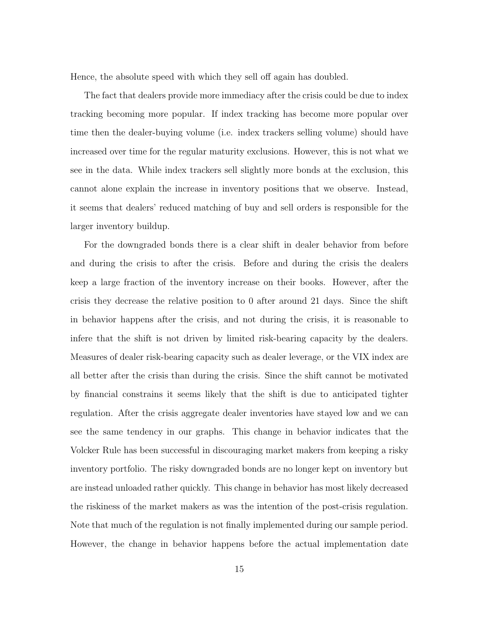Hence, the absolute speed with which they sell off again has doubled.

The fact that dealers provide more immediacy after the crisis could be due to index tracking becoming more popular. If index tracking has become more popular over time then the dealer-buying volume (i.e. index trackers selling volume) should have increased over time for the regular maturity exclusions. However, this is not what we see in the data. While index trackers sell slightly more bonds at the exclusion, this cannot alone explain the increase in inventory positions that we observe. Instead, it seems that dealers' reduced matching of buy and sell orders is responsible for the larger inventory buildup.

For the downgraded bonds there is a clear shift in dealer behavior from before and during the crisis to after the crisis. Before and during the crisis the dealers keep a large fraction of the inventory increase on their books. However, after the crisis they decrease the relative position to 0 after around 21 days. Since the shift in behavior happens after the crisis, and not during the crisis, it is reasonable to infere that the shift is not driven by limited risk-bearing capacity by the dealers. Measures of dealer risk-bearing capacity such as dealer leverage, or the VIX index are all better after the crisis than during the crisis. Since the shift cannot be motivated by financial constrains it seems likely that the shift is due to anticipated tighter regulation. After the crisis aggregate dealer inventories have stayed low and we can see the same tendency in our graphs. This change in behavior indicates that the Volcker Rule has been successful in discouraging market makers from keeping a risky inventory portfolio. The risky downgraded bonds are no longer kept on inventory but are instead unloaded rather quickly. This change in behavior has most likely decreased the riskiness of the market makers as was the intention of the post-crisis regulation. Note that much of the regulation is not finally implemented during our sample period. However, the change in behavior happens before the actual implementation date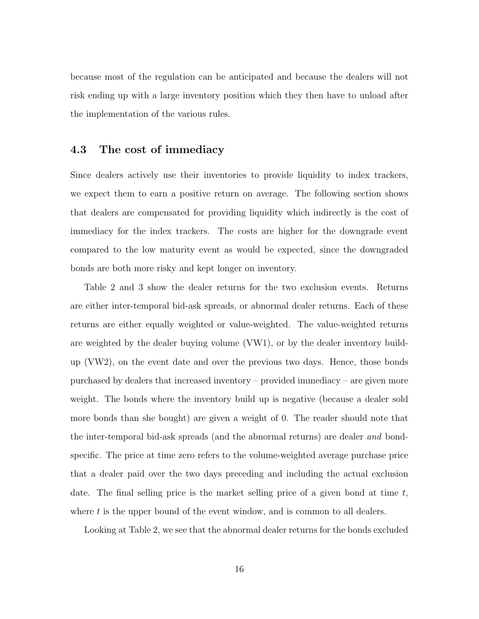because most of the regulation can be anticipated and because the dealers will not risk ending up with a large inventory position which they then have to unload after the implementation of the various rules.

### 4.3 The cost of immediacy

Since dealers actively use their inventories to provide liquidity to index trackers, we expect them to earn a positive return on average. The following section shows that dealers are compensated for providing liquidity which indirectly is the cost of immediacy for the index trackers. The costs are higher for the downgrade event compared to the low maturity event as would be expected, since the downgraded bonds are both more risky and kept longer on inventory.

Table 2 and 3 show the dealer returns for the two exclusion events. Returns are either inter-temporal bid-ask spreads, or abnormal dealer returns. Each of these returns are either equally weighted or value-weighted. The value-weighted returns are weighted by the dealer buying volume (VW1), or by the dealer inventory buildup (VW2), on the event date and over the previous two days. Hence, those bonds purchased by dealers that increased inventory – provided immediacy – are given more weight. The bonds where the inventory build up is negative (because a dealer sold more bonds than she bought) are given a weight of 0. The reader should note that the inter-temporal bid-ask spreads (and the abnormal returns) are dealer and bondspecific. The price at time zero refers to the volume-weighted average purchase price that a dealer paid over the two days preceding and including the actual exclusion date. The final selling price is the market selling price of a given bond at time  $t$ , where  $t$  is the upper bound of the event window, and is common to all dealers.

Looking at Table 2, we see that the abnormal dealer returns for the bonds excluded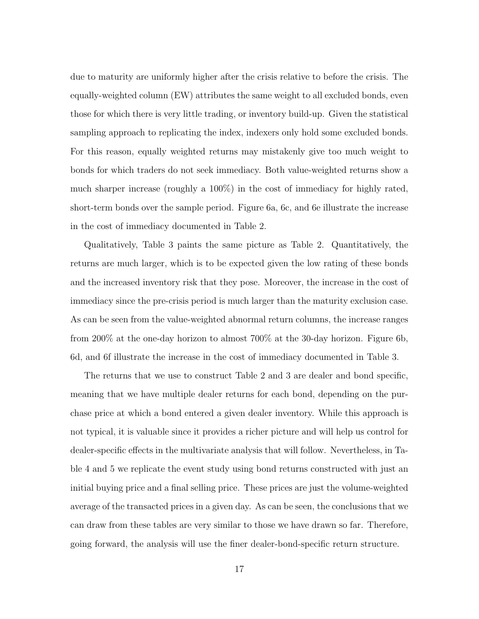due to maturity are uniformly higher after the crisis relative to before the crisis. The equally-weighted column (EW) attributes the same weight to all excluded bonds, even those for which there is very little trading, or inventory build-up. Given the statistical sampling approach to replicating the index, indexers only hold some excluded bonds. For this reason, equally weighted returns may mistakenly give too much weight to bonds for which traders do not seek immediacy. Both value-weighted returns show a much sharper increase (roughly a 100%) in the cost of immediacy for highly rated, short-term bonds over the sample period. Figure 6a, 6c, and 6e illustrate the increase in the cost of immediacy documented in Table 2.

Qualitatively, Table 3 paints the same picture as Table 2. Quantitatively, the returns are much larger, which is to be expected given the low rating of these bonds and the increased inventory risk that they pose. Moreover, the increase in the cost of immediacy since the pre-crisis period is much larger than the maturity exclusion case. As can be seen from the value-weighted abnormal return columns, the increase ranges from 200% at the one-day horizon to almost 700% at the 30-day horizon. Figure 6b, 6d, and 6f illustrate the increase in the cost of immediacy documented in Table 3.

The returns that we use to construct Table 2 and 3 are dealer and bond specific, meaning that we have multiple dealer returns for each bond, depending on the purchase price at which a bond entered a given dealer inventory. While this approach is not typical, it is valuable since it provides a richer picture and will help us control for dealer-specific effects in the multivariate analysis that will follow. Nevertheless, in Table 4 and 5 we replicate the event study using bond returns constructed with just an initial buying price and a final selling price. These prices are just the volume-weighted average of the transacted prices in a given day. As can be seen, the conclusions that we can draw from these tables are very similar to those we have drawn so far. Therefore, going forward, the analysis will use the finer dealer-bond-specific return structure.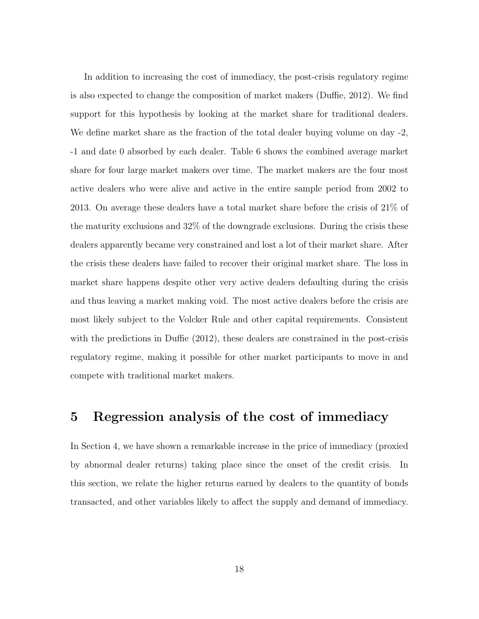In addition to increasing the cost of immediacy, the post-crisis regulatory regime is also expected to change the composition of market makers (Duffie, 2012). We find support for this hypothesis by looking at the market share for traditional dealers. We define market share as the fraction of the total dealer buying volume on day -2, -1 and date 0 absorbed by each dealer. Table 6 shows the combined average market share for four large market makers over time. The market makers are the four most active dealers who were alive and active in the entire sample period from 2002 to 2013. On average these dealers have a total market share before the crisis of 21% of the maturity exclusions and 32% of the downgrade exclusions. During the crisis these dealers apparently became very constrained and lost a lot of their market share. After the crisis these dealers have failed to recover their original market share. The loss in market share happens despite other very active dealers defaulting during the crisis and thus leaving a market making void. The most active dealers before the crisis are most likely subject to the Volcker Rule and other capital requirements. Consistent with the predictions in Duffie (2012), these dealers are constrained in the post-crisis regulatory regime, making it possible for other market participants to move in and compete with traditional market makers.

## 5 Regression analysis of the cost of immediacy

In Section 4, we have shown a remarkable increase in the price of immediacy (proxied by abnormal dealer returns) taking place since the onset of the credit crisis. In this section, we relate the higher returns earned by dealers to the quantity of bonds transacted, and other variables likely to affect the supply and demand of immediacy.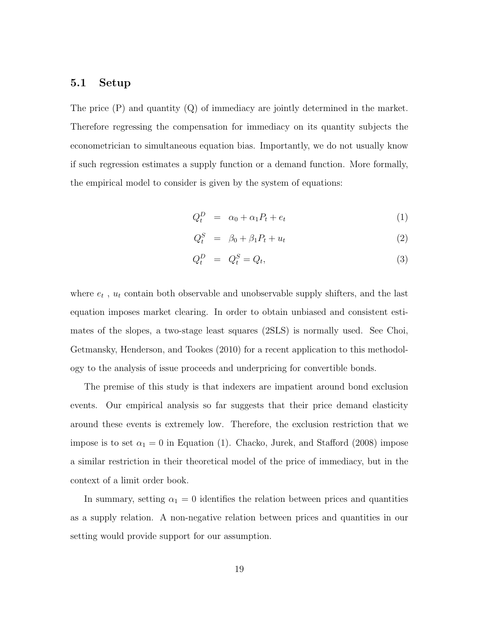#### 5.1 Setup

The price  $(P)$  and quantity  $(Q)$  of immediacy are jointly determined in the market. Therefore regressing the compensation for immediacy on its quantity subjects the econometrician to simultaneous equation bias. Importantly, we do not usually know if such regression estimates a supply function or a demand function. More formally, the empirical model to consider is given by the system of equations:

$$
Q_t^D = \alpha_0 + \alpha_1 P_t + e_t \tag{1}
$$

$$
Q_t^S = \beta_0 + \beta_1 P_t + u_t \tag{2}
$$

$$
Q_t^D = Q_t^S = Q_t,\t\t(3)
$$

where  $e_t$ ,  $u_t$  contain both observable and unobservable supply shifters, and the last equation imposes market clearing. In order to obtain unbiased and consistent estimates of the slopes, a two-stage least squares (2SLS) is normally used. See Choi, Getmansky, Henderson, and Tookes (2010) for a recent application to this methodology to the analysis of issue proceeds and underpricing for convertible bonds.

The premise of this study is that indexers are impatient around bond exclusion events. Our empirical analysis so far suggests that their price demand elasticity around these events is extremely low. Therefore, the exclusion restriction that we impose is to set  $\alpha_1 = 0$  in Equation (1). Chacko, Jurek, and Stafford (2008) impose a similar restriction in their theoretical model of the price of immediacy, but in the context of a limit order book.

In summary, setting  $\alpha_1 = 0$  identifies the relation between prices and quantities as a supply relation. A non-negative relation between prices and quantities in our setting would provide support for our assumption.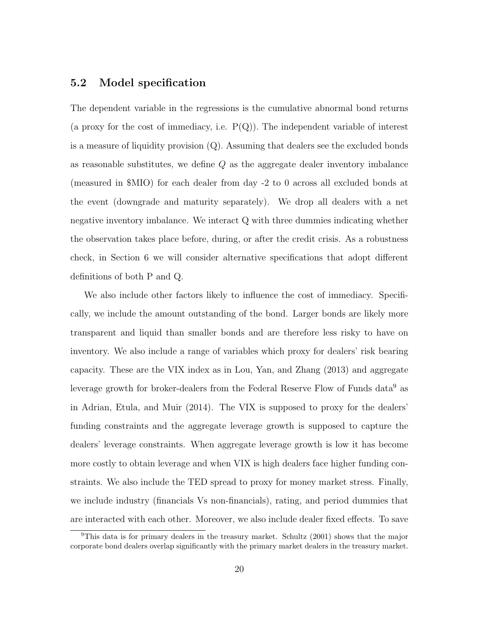### 5.2 Model specification

The dependent variable in the regressions is the cumulative abnormal bond returns (a proxy for the cost of immediacy, i.e.  $P(Q)$ ). The independent variable of interest is a measure of liquidity provision  $(Q)$ . Assuming that dealers see the excluded bonds as reasonable substitutes, we define  $Q$  as the aggregate dealer inventory imbalance (measured in \$MIO) for each dealer from day -2 to 0 across all excluded bonds at the event (downgrade and maturity separately). We drop all dealers with a net negative inventory imbalance. We interact Q with three dummies indicating whether the observation takes place before, during, or after the credit crisis. As a robustness check, in Section 6 we will consider alternative specifications that adopt different definitions of both P and Q.

We also include other factors likely to influence the cost of immediacy. Specifically, we include the amount outstanding of the bond. Larger bonds are likely more transparent and liquid than smaller bonds and are therefore less risky to have on inventory. We also include a range of variables which proxy for dealers' risk bearing capacity. These are the VIX index as in Lou, Yan, and Zhang (2013) and aggregate leverage growth for broker-dealers from the Federal Reserve Flow of Funds  $\rm data^9$  as in Adrian, Etula, and Muir (2014). The VIX is supposed to proxy for the dealers' funding constraints and the aggregate leverage growth is supposed to capture the dealers' leverage constraints. When aggregate leverage growth is low it has become more costly to obtain leverage and when VIX is high dealers face higher funding constraints. We also include the TED spread to proxy for money market stress. Finally, we include industry (financials Vs non-financials), rating, and period dummies that are interacted with each other. Moreover, we also include dealer fixed effects. To save

 $9$ This data is for primary dealers in the treasury market. Schultz (2001) shows that the major corporate bond dealers overlap significantly with the primary market dealers in the treasury market.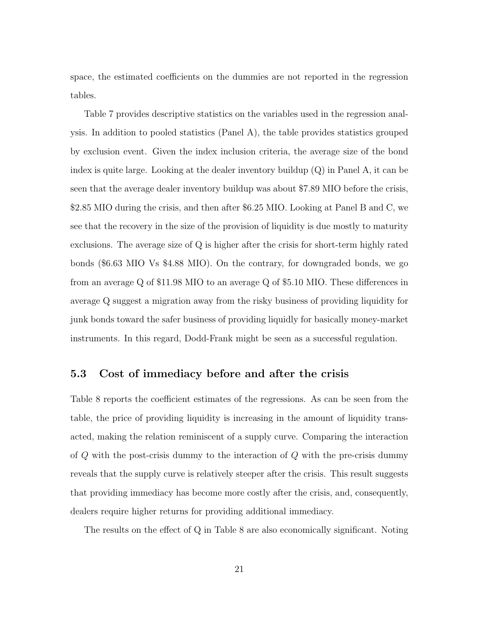space, the estimated coefficients on the dummies are not reported in the regression tables.

Table 7 provides descriptive statistics on the variables used in the regression analysis. In addition to pooled statistics (Panel A), the table provides statistics grouped by exclusion event. Given the index inclusion criteria, the average size of the bond index is quite large. Looking at the dealer inventory buildup (Q) in Panel A, it can be seen that the average dealer inventory buildup was about \$7.89 MIO before the crisis, \$2.85 MIO during the crisis, and then after \$6.25 MIO. Looking at Panel B and C, we see that the recovery in the size of the provision of liquidity is due mostly to maturity exclusions. The average size of Q is higher after the crisis for short-term highly rated bonds (\$6.63 MIO Vs \$4.88 MIO). On the contrary, for downgraded bonds, we go from an average Q of \$11.98 MIO to an average Q of \$5.10 MIO. These differences in average Q suggest a migration away from the risky business of providing liquidity for junk bonds toward the safer business of providing liquidly for basically money-market instruments. In this regard, Dodd-Frank might be seen as a successful regulation.

#### 5.3 Cost of immediacy before and after the crisis

Table 8 reports the coefficient estimates of the regressions. As can be seen from the table, the price of providing liquidity is increasing in the amount of liquidity transacted, making the relation reminiscent of a supply curve. Comparing the interaction of  $Q$  with the post-crisis dummy to the interaction of  $Q$  with the pre-crisis dummy reveals that the supply curve is relatively steeper after the crisis. This result suggests that providing immediacy has become more costly after the crisis, and, consequently, dealers require higher returns for providing additional immediacy.

The results on the effect of Q in Table 8 are also economically significant. Noting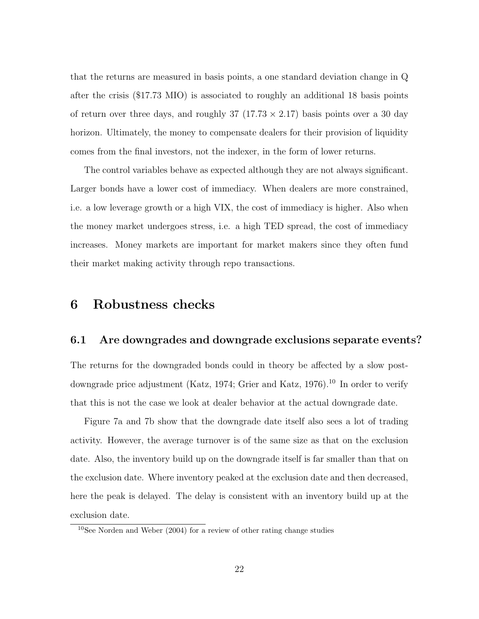that the returns are measured in basis points, a one standard deviation change in Q after the crisis (\$17.73 MIO) is associated to roughly an additional 18 basis points of return over three days, and roughly  $37$   $(17.73 \times 2.17)$  basis points over a 30 day horizon. Ultimately, the money to compensate dealers for their provision of liquidity comes from the final investors, not the indexer, in the form of lower returns.

The control variables behave as expected although they are not always significant. Larger bonds have a lower cost of immediacy. When dealers are more constrained, i.e. a low leverage growth or a high VIX, the cost of immediacy is higher. Also when the money market undergoes stress, i.e. a high TED spread, the cost of immediacy increases. Money markets are important for market makers since they often fund their market making activity through repo transactions.

### 6 Robustness checks

#### 6.1 Are downgrades and downgrade exclusions separate events?

The returns for the downgraded bonds could in theory be affected by a slow postdowngrade price adjustment (Katz, 1974; Grier and Katz, 1976).<sup>10</sup> In order to verify that this is not the case we look at dealer behavior at the actual downgrade date.

Figure 7a and 7b show that the downgrade date itself also sees a lot of trading activity. However, the average turnover is of the same size as that on the exclusion date. Also, the inventory build up on the downgrade itself is far smaller than that on the exclusion date. Where inventory peaked at the exclusion date and then decreased, here the peak is delayed. The delay is consistent with an inventory build up at the exclusion date.

<sup>10</sup>See Norden and Weber (2004) for a review of other rating change studies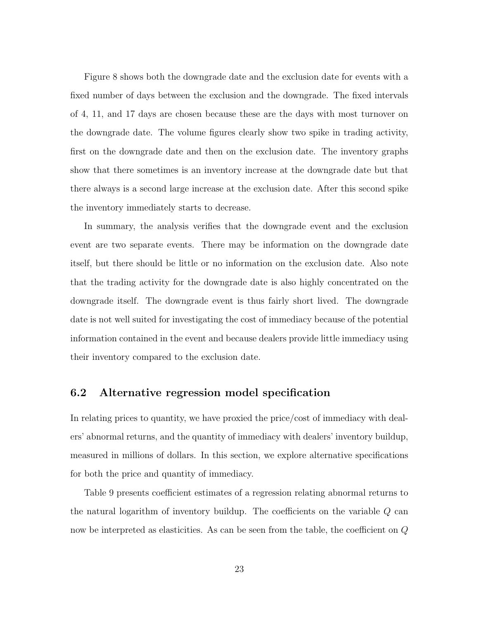Figure 8 shows both the downgrade date and the exclusion date for events with a fixed number of days between the exclusion and the downgrade. The fixed intervals of 4, 11, and 17 days are chosen because these are the days with most turnover on the downgrade date. The volume figures clearly show two spike in trading activity, first on the downgrade date and then on the exclusion date. The inventory graphs show that there sometimes is an inventory increase at the downgrade date but that there always is a second large increase at the exclusion date. After this second spike the inventory immediately starts to decrease.

In summary, the analysis verifies that the downgrade event and the exclusion event are two separate events. There may be information on the downgrade date itself, but there should be little or no information on the exclusion date. Also note that the trading activity for the downgrade date is also highly concentrated on the downgrade itself. The downgrade event is thus fairly short lived. The downgrade date is not well suited for investigating the cost of immediacy because of the potential information contained in the event and because dealers provide little immediacy using their inventory compared to the exclusion date.

### 6.2 Alternative regression model specification

In relating prices to quantity, we have proxied the price/cost of immediacy with dealers' abnormal returns, and the quantity of immediacy with dealers' inventory buildup, measured in millions of dollars. In this section, we explore alternative specifications for both the price and quantity of immediacy.

Table 9 presents coefficient estimates of a regression relating abnormal returns to the natural logarithm of inventory buildup. The coefficients on the variable Q can now be interpreted as elasticities. As can be seen from the table, the coefficient on Q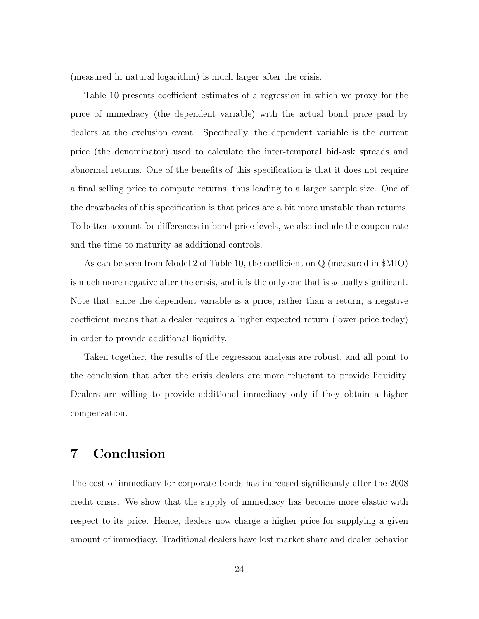(measured in natural logarithm) is much larger after the crisis.

Table 10 presents coefficient estimates of a regression in which we proxy for the price of immediacy (the dependent variable) with the actual bond price paid by dealers at the exclusion event. Specifically, the dependent variable is the current price (the denominator) used to calculate the inter-temporal bid-ask spreads and abnormal returns. One of the benefits of this specification is that it does not require a final selling price to compute returns, thus leading to a larger sample size. One of the drawbacks of this specification is that prices are a bit more unstable than returns. To better account for differences in bond price levels, we also include the coupon rate and the time to maturity as additional controls.

As can be seen from Model 2 of Table 10, the coefficient on Q (measured in \$MIO) is much more negative after the crisis, and it is the only one that is actually significant. Note that, since the dependent variable is a price, rather than a return, a negative coefficient means that a dealer requires a higher expected return (lower price today) in order to provide additional liquidity.

Taken together, the results of the regression analysis are robust, and all point to the conclusion that after the crisis dealers are more reluctant to provide liquidity. Dealers are willing to provide additional immediacy only if they obtain a higher compensation.

## 7 Conclusion

The cost of immediacy for corporate bonds has increased significantly after the 2008 credit crisis. We show that the supply of immediacy has become more elastic with respect to its price. Hence, dealers now charge a higher price for supplying a given amount of immediacy. Traditional dealers have lost market share and dealer behavior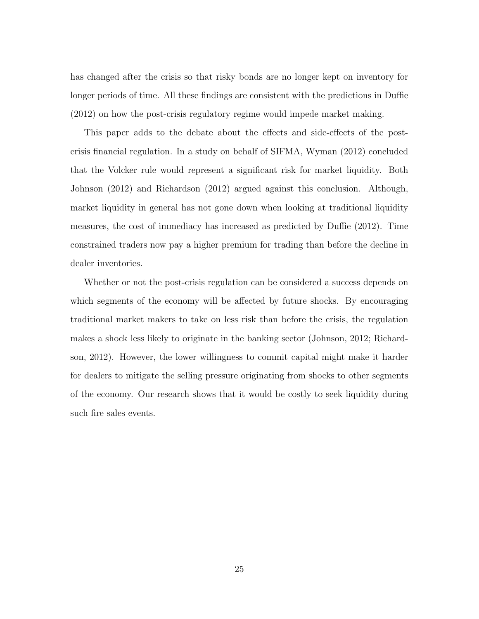has changed after the crisis so that risky bonds are no longer kept on inventory for longer periods of time. All these findings are consistent with the predictions in Duffie (2012) on how the post-crisis regulatory regime would impede market making.

This paper adds to the debate about the effects and side-effects of the postcrisis financial regulation. In a study on behalf of SIFMA, Wyman (2012) concluded that the Volcker rule would represent a significant risk for market liquidity. Both Johnson (2012) and Richardson (2012) argued against this conclusion. Although, market liquidity in general has not gone down when looking at traditional liquidity measures, the cost of immediacy has increased as predicted by Duffie (2012). Time constrained traders now pay a higher premium for trading than before the decline in dealer inventories.

Whether or not the post-crisis regulation can be considered a success depends on which segments of the economy will be affected by future shocks. By encouraging traditional market makers to take on less risk than before the crisis, the regulation makes a shock less likely to originate in the banking sector (Johnson, 2012; Richardson, 2012). However, the lower willingness to commit capital might make it harder for dealers to mitigate the selling pressure originating from shocks to other segments of the economy. Our research shows that it would be costly to seek liquidity during such fire sales events.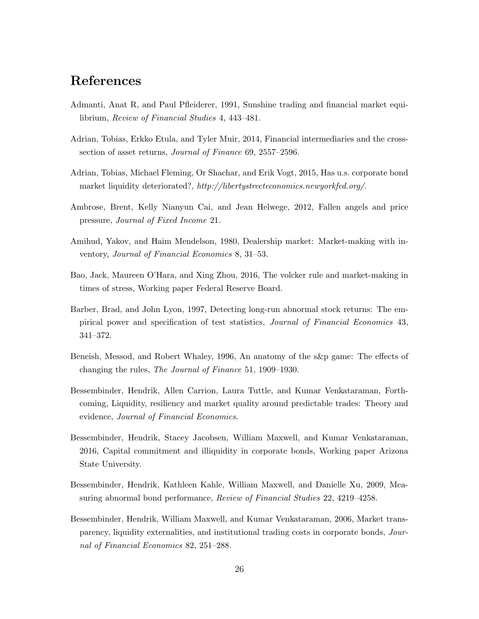## References

- Admanti, Anat R, and Paul Pfleiderer, 1991, Sunshine trading and financial market equilibrium, Review of Financial Studies 4, 443–481.
- Adrian, Tobias, Erkko Etula, and Tyler Muir, 2014, Financial intermediaries and the crosssection of asset returns, Journal of Finance 69, 2557–2596.
- Adrian, Tobias, Michael Fleming, Or Shachar, and Erik Vogt, 2015, Has u.s. corporate bond market liquidity deteriorated?, http://libertystreeteconomics.newyorkfed.org/.
- Ambrose, Brent, Kelly Nianyun Cai, and Jean Helwege, 2012, Fallen angels and price pressure, Journal of Fixed Income 21.
- Amihud, Yakov, and Haim Mendelson, 1980, Dealership market: Market-making with inventory, Journal of Financial Economics 8, 31–53.
- Bao, Jack, Maureen O'Hara, and Xing Zhou, 2016, The volcker rule and market-making in times of stress, Working paper Federal Reserve Board.
- Barber, Brad, and John Lyon, 1997, Detecting long-run abnormal stock returns: The empirical power and specification of test statistics, Journal of Financial Economics 43, 341–372.
- Beneish, Messod, and Robert Whaley, 1996, An anatomy of the s&p game: The effects of changing the rules, The Journal of Finance 51, 1909–1930.
- Bessembinder, Hendrik, Allen Carrion, Laura Tuttle, and Kumar Venkataraman, Forthcoming, Liquidity, resiliency and market quality around predictable trades: Theory and evidence, Journal of Financial Economics.
- Bessembinder, Hendrik, Stacey Jacobsen, William Maxwell, and Kumar Venkataraman, 2016, Capital commitment and illiquidity in corporate bonds, Working paper Arizona State University.
- Bessembinder, Hendrik, Kathleen Kahle, William Maxwell, and Danielle Xu, 2009, Measuring abnormal bond performance, Review of Financial Studies 22, 4219–4258.
- Bessembinder, Hendrik, William Maxwell, and Kumar Venkataraman, 2006, Market transparency, liquidity externalities, and institutional trading costs in corporate bonds, Journal of Financial Economics 82, 251–288.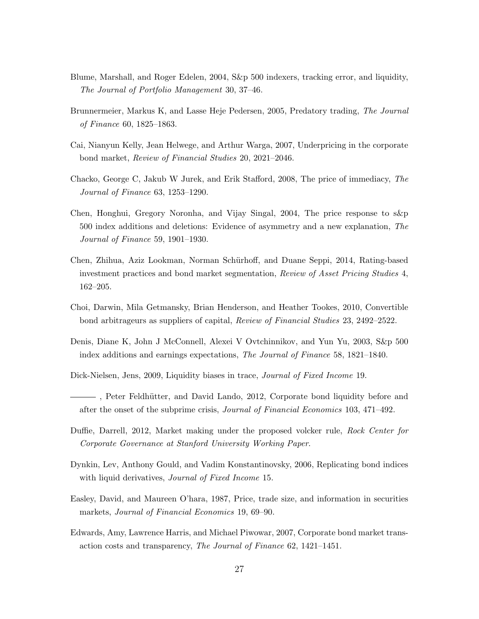- Blume, Marshall, and Roger Edelen, 2004, S&p 500 indexers, tracking error, and liquidity, The Journal of Portfolio Management 30, 37–46.
- Brunnermeier, Markus K, and Lasse Heje Pedersen, 2005, Predatory trading, The Journal of Finance 60, 1825–1863.
- Cai, Nianyun Kelly, Jean Helwege, and Arthur Warga, 2007, Underpricing in the corporate bond market, Review of Financial Studies 20, 2021–2046.
- Chacko, George C, Jakub W Jurek, and Erik Stafford, 2008, The price of immediacy, The Journal of Finance 63, 1253–1290.
- Chen, Honghui, Gregory Noronha, and Vijay Singal, 2004, The price response to s&p 500 index additions and deletions: Evidence of asymmetry and a new explanation, The Journal of Finance 59, 1901–1930.
- Chen, Zhihua, Aziz Lookman, Norman Sch¨urhoff, and Duane Seppi, 2014, Rating-based investment practices and bond market segmentation, Review of Asset Pricing Studies 4, 162–205.
- Choi, Darwin, Mila Getmansky, Brian Henderson, and Heather Tookes, 2010, Convertible bond arbitrageurs as suppliers of capital, Review of Financial Studies 23, 2492–2522.
- Denis, Diane K, John J McConnell, Alexei V Ovtchinnikov, and Yun Yu, 2003, S&p 500 index additions and earnings expectations, The Journal of Finance 58, 1821–1840.
- Dick-Nielsen, Jens, 2009, Liquidity biases in trace, *Journal of Fixed Income* 19.
- , Peter Feldh¨utter, and David Lando, 2012, Corporate bond liquidity before and after the onset of the subprime crisis, Journal of Financial Economics 103, 471–492.
- Duffie, Darrell, 2012, Market making under the proposed volcker rule, Rock Center for Corporate Governance at Stanford University Working Paper.
- Dynkin, Lev, Anthony Gould, and Vadim Konstantinovsky, 2006, Replicating bond indices with liquid derivatives, *Journal of Fixed Income* 15.
- Easley, David, and Maureen O'hara, 1987, Price, trade size, and information in securities markets, Journal of Financial Economics 19, 69–90.
- Edwards, Amy, Lawrence Harris, and Michael Piwowar, 2007, Corporate bond market transaction costs and transparency, The Journal of Finance 62, 1421–1451.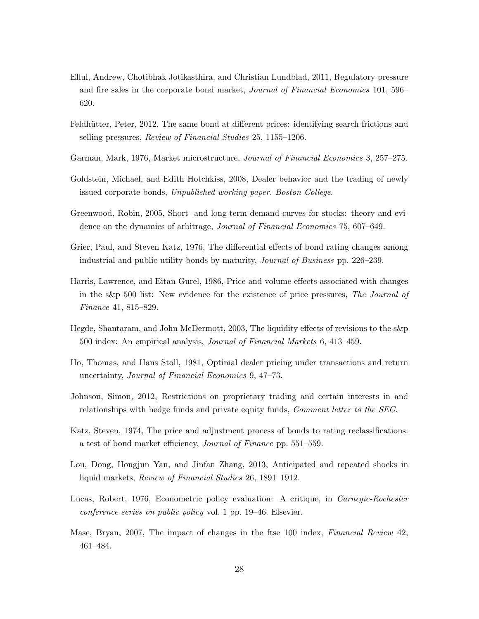- Ellul, Andrew, Chotibhak Jotikasthira, and Christian Lundblad, 2011, Regulatory pressure and fire sales in the corporate bond market, Journal of Financial Economics 101, 596– 620.
- Feldhütter, Peter, 2012, The same bond at different prices: identifying search frictions and selling pressures, Review of Financial Studies 25, 1155–1206.
- Garman, Mark, 1976, Market microstructure, Journal of Financial Economics 3, 257–275.
- Goldstein, Michael, and Edith Hotchkiss, 2008, Dealer behavior and the trading of newly issued corporate bonds, Unpublished working paper. Boston College.
- Greenwood, Robin, 2005, Short- and long-term demand curves for stocks: theory and evidence on the dynamics of arbitrage, *Journal of Financial Economics* 75, 607–649.
- Grier, Paul, and Steven Katz, 1976, The differential effects of bond rating changes among industrial and public utility bonds by maturity, Journal of Business pp. 226–239.
- Harris, Lawrence, and Eitan Gurel, 1986, Price and volume effects associated with changes in the s&p 500 list: New evidence for the existence of price pressures, The Journal of Finance 41, 815–829.
- Hegde, Shantaram, and John McDermott, 2003, The liquidity effects of revisions to the s&p 500 index: An empirical analysis, Journal of Financial Markets 6, 413–459.
- Ho, Thomas, and Hans Stoll, 1981, Optimal dealer pricing under transactions and return uncertainty, Journal of Financial Economics 9, 47–73.
- Johnson, Simon, 2012, Restrictions on proprietary trading and certain interests in and relationships with hedge funds and private equity funds, *Comment letter to the SEC*.
- Katz, Steven, 1974, The price and adjustment process of bonds to rating reclassifications: a test of bond market efficiency, Journal of Finance pp. 551–559.
- Lou, Dong, Hongjun Yan, and Jinfan Zhang, 2013, Anticipated and repeated shocks in liquid markets, Review of Financial Studies 26, 1891–1912.
- Lucas, Robert, 1976, Econometric policy evaluation: A critique, in Carnegie-Rochester conference series on public policy vol. 1 pp. 19–46. Elsevier.
- Mase, Bryan, 2007, The impact of changes in the ftse 100 index, *Financial Review* 42, 461–484.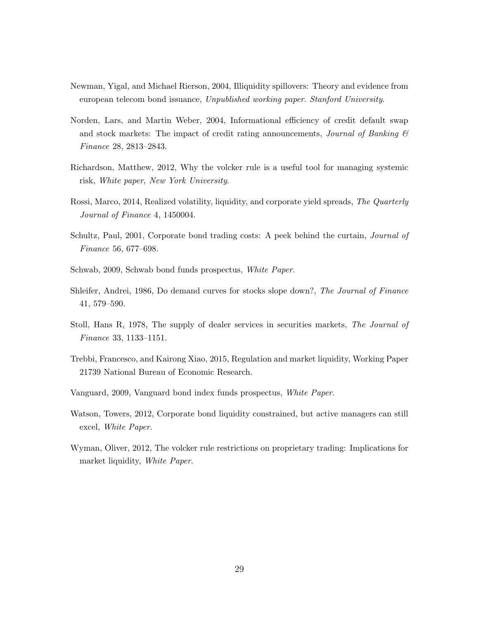- Newman, Yigal, and Michael Rierson, 2004, Illiquidity spillovers: Theory and evidence from european telecom bond issuance, Unpublished working paper. Stanford University.
- Norden, Lars, and Martin Weber, 2004, Informational efficiency of credit default swap and stock markets: The impact of credit rating announcements, *Journal of Banking*  $\mathcal{C}$ Finance 28, 2813–2843.
- Richardson, Matthew, 2012, Why the volcker rule is a useful tool for managing systemic risk, White paper, New York University.
- Rossi, Marco, 2014, Realized volatility, liquidity, and corporate yield spreads, The Quarterly Journal of Finance 4, 1450004.
- Schultz, Paul, 2001, Corporate bond trading costs: A peek behind the curtain, Journal of Finance 56, 677–698.
- Schwab, 2009, Schwab bond funds prospectus, White Paper.
- Shleifer, Andrei, 1986, Do demand curves for stocks slope down?, The Journal of Finance 41, 579–590.
- Stoll, Hans R, 1978, The supply of dealer services in securities markets, The Journal of Finance 33, 1133–1151.
- Trebbi, Francesco, and Kairong Xiao, 2015, Regulation and market liquidity, Working Paper 21739 National Bureau of Economic Research.
- Vanguard, 2009, Vanguard bond index funds prospectus, White Paper.
- Watson, Towers, 2012, Corporate bond liquidity constrained, but active managers can still excel, White Paper.
- Wyman, Oliver, 2012, The volcker rule restrictions on proprietary trading: Implications for market liquidity, White Paper.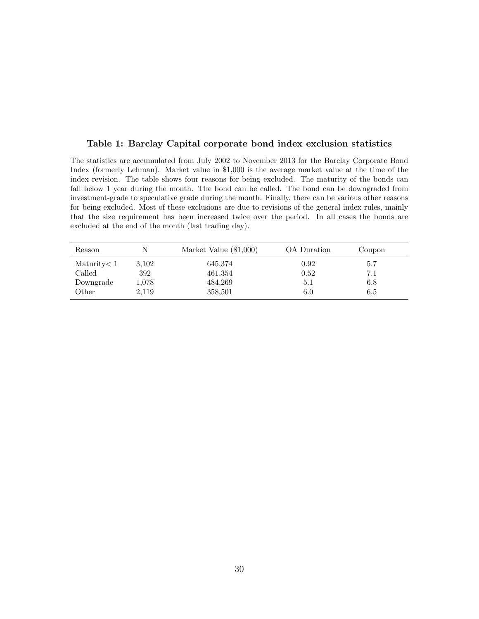#### Table 1: Barclay Capital corporate bond index exclusion statistics

The statistics are accumulated from July 2002 to November 2013 for the Barclay Corporate Bond Index (formerly Lehman). Market value in \$1,000 is the average market value at the time of the index revision. The table shows four reasons for being excluded. The maturity of the bonds can fall below 1 year during the month. The bond can be called. The bond can be downgraded from investment-grade to speculative grade during the month. Finally, there can be various other reasons for being excluded. Most of these exclusions are due to revisions of the general index rules, mainly that the size requirement has been increased twice over the period. In all cases the bonds are excluded at the end of the month (last trading day).

| Reason         | N     | Market Value $(\$1,000)$ | OA Duration | Coupon |  |
|----------------|-------|--------------------------|-------------|--------|--|
| Maturity $< 1$ | 3.102 | 645,374                  | 0.92        | 5.7    |  |
| Called         | 392   | 461,354                  | 0.52        | 7.1    |  |
| Downgrade      | 1.078 | 484,269                  | 5.1         | 6.8    |  |
| Other          | 2,119 | 358,501                  | 6.0         | 6.5    |  |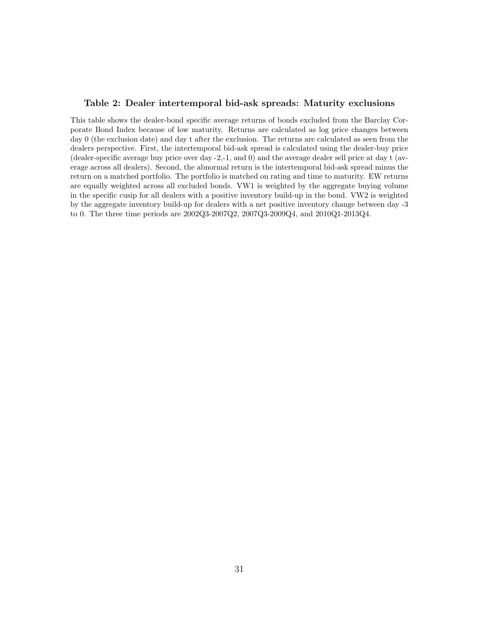#### Table 2: Dealer intertemporal bid-ask spreads: Maturity exclusions

This table shows the dealer-bond specific average returns of bonds excluded from the Barclay Corporate Bond Index because of low maturity. Returns are calculated as log price changes between day 0 (the exclusion date) and day t after the exclusion. The returns are calculated as seen from the dealers perspective. First, the intertemporal bid-ask spread is calculated using the dealer-buy price (dealer-specific average buy price over day -2,-1, and 0) and the average dealer sell price at day t (average across all dealers). Second, the abnormal return is the intertemporal bid-ask spread minus the return on a matched portfolio. The portfolio is matched on rating and time to maturity. EW returns are equally weighted across all excluded bonds. VW1 is weighted by the aggregate buying volume in the specific cusip for all dealers with a positive inventory build-up in the bond. VW2 is weighted by the aggregate inventory build-up for dealers with a net positive inventory change between day -3 to 0. The three time periods are 2002Q3-2007Q2, 2007Q3-2009Q4, and 2010Q1-2013Q4.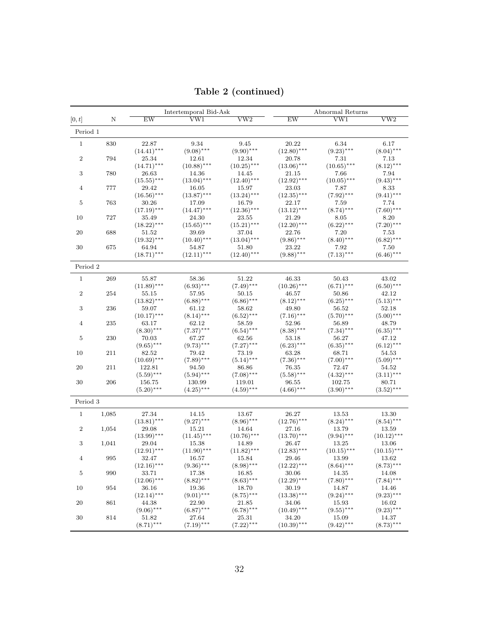|                |       |               | Intertemporal Bid-Ask |                         |               | Abnormal Returns        |                         |
|----------------|-------|---------------|-----------------------|-------------------------|---------------|-------------------------|-------------------------|
| [0, t]         | N     | EW            | VW1                   | $\overline{\text{vw2}}$ | EW            | $\overline{\text{VW1}}$ | $\overline{\text{vw2}}$ |
| Period 1       |       |               |                       |                         |               |                         |                         |
| $\mathbf{1}$   | 830   | 22.87         | 9.34                  | 9.45                    | 20.22         | 6.34                    | 6.17                    |
|                |       | $(14.41)$ *** | $(9.08)$ ***          | $(9.90)$ ***            | $(12.80)$ *** | $(9.23)$ ***            | $(8.04)$ ***            |
| $\,2$          | 794   | 25.34         | 12.61                 | 12.34                   | 20.78         | 7.31                    | 7.13                    |
|                |       | $(14.71)$ *** | $(10.88)$ ***         | $(10.25)$ ***           | $(13.06)$ *** | $(10.65)$ ***           | $(8.12)$ ***            |
| $\sqrt{3}$     | 780   | 26.63         | 14.36                 | 14.45                   | 21.15         | 7.66                    | 7.94                    |
|                |       | $(15.55)$ *** | $(13.04)$ ***         | $(12.40)$ ***           | $(12.92)$ *** | $(10.05)$ ***           | $(9.43)$ ***            |
| $\overline{4}$ | 777   | 29.42         | 16.05                 | 15.97                   | 23.03         | 7.87                    | 8.33                    |
|                |       | $(16.56)$ *** | $(13.87)$ ***         | $(13.24)$ ***           | $(12.35)$ *** | $(7.92)$ ***            | $(9.41)$ ***            |
| 5              | 763   | 30.26         | 17.09                 | 16.79                   | 22.17         | 7.59                    | 7.74                    |
|                |       | $(17.19)$ *** | $(14.47)$ ***         | $(12.36)$ ***           | $(13.12)$ *** | $(8.74)$ ***            | $(7.60)$ ***            |
| 10             | 727   | 35.49         | 24.30                 | 23.55                   | 21.29         | 8.05                    | 8.20                    |
|                |       | $(18.22)$ *** | $(15.65)$ ***         | $(15.21)$ ***           | $(12.20)$ *** | $(6.22)$ ***            | $(7.20)$ ***            |
| 20             | 688   | 51.52         | 39.69                 | 37.04                   | 22.76         | 7.20                    | 7.53                    |
|                |       | $(19.32)$ *** | $(10.40)$ ***         | $(13.04)$ ***           | $(9.86)$ ***  | $(8.40)$ ***            | $(6.82)$ ***            |
| 30             | 675   | 64.94         | 54.87                 | 51.80                   | 23.22         | 7.92                    | 7.50                    |
|                |       | $(18.71)$ *** | $(12.11)$ ***         | $(12.40)$ ***           | $(9.88)$ ***  | $(7.13)$ ***            | $(6.46)$ ***            |
| Period 2       |       |               |                       |                         |               |                         |                         |
| $\mathbf{1}$   | 269   | 55.87         | 58.36                 | 51.22                   | 46.33         | 50.43                   | 43.02                   |
|                |       | $(11.89)$ *** | $(6.93)$ ***          | $(7.49)$ ***            | $(10.26)$ *** | $(6.71)$ ***            | $(6.50)$ ***            |
| $\,2$          | 254   | 55.15         | 57.95                 | 50.15                   | 46.57         | 50.86                   | 42.12                   |
|                |       | $(13.82)$ *** | $(6.88)$ ***          | $(6.86)$ ***            | $(8.12)$ ***  | $(6.25)$ ***            | $(5.13)$ ***            |
| $\sqrt{3}$     | 236   | 59.07         | 61.12                 | 58.62                   | 49.80         | 56.52                   | 52.18                   |
|                |       | $(10.17)$ *** | $(8.14)$ ***          | $(6.52)$ ***            | $(7.16)$ ***  | $(5.70)$ ***            | $(5.00)$ ***            |
| 4              | 235   | 63.17         | 62.12                 | 58.59                   | 52.96         | 56.89                   | 48.79                   |
|                |       | $(8.30)$ ***  | $(7.37)$ ***          | $(6.54)$ ***            | $(8.38)$ ***  | $(7.34)$ ***            | $(6.35)$ ***            |
| 5              | 230   | 70.03         | 67.27                 | 62.56                   | 53.18         | 56.27                   | 47.12                   |
|                |       | $(9.65)$ ***  | $(9.73)$ ***          | $(7.27)$ ***            | $(6.23)$ ***  | $(6.35)$ ***            | $(6.12)$ ***            |
| 10             | 211   | 82.52         | 79.42                 | 73.19                   | 63.28         | 68.71                   | 54.53                   |
|                |       | $(10.69)$ *** | $(7.89)$ ***          | $(5.14)$ ***            | $(7.36)$ ***  | $(7.00)$ ***            | $(5.09)$ ***            |
| 20             | 211   | 122.81        | 94.50                 | 86.86                   | 76.35         | 72.47                   | 54.52                   |
|                |       | $(5.59)$ ***  | $(5.94)$ ***          | $(7.08)$ ***            | $(5.58)$ ***  | $(4.32)$ ***            | $(3.11)$ ***            |
| 30             | 206   | 156.75        | 130.99                | 119.01                  | 96.55         | 102.75                  | 80.71                   |
|                |       | $(5.20)$ ***  | $(4.25)$ ***          | $(4.59)$ ***            | $(4.66)$ ***  | $(3.90)$ ***            | $(3.52)$ ***            |
| Period 3       |       |               |                       |                         |               |                         |                         |
| $\mathbf{1}$   | 1,085 | 27.34         | 14.15                 | 13.67                   | 26.27         | 13.53                   | 13.30                   |
|                |       | $(13.81)$ *** | $(9.27)$ ***          | $(8.96)$ ***            | $(12.76)$ *** | $(8.24)$ ***            | $(8.54)$ ***            |
| $\,2$          | 1,054 | 29.08         | 15.21                 | 14.64                   | 27.16         | 13.79                   | 13.59                   |
|                |       | $(13.99)$ *** | $(11.45)$ ***         | $(10.76)$ ***           | $(13.70)$ *** | $(9.94)$ ***            | $(10.12)$ ***           |
| 3              | 1,041 | 29.04         | 15.38                 | 14.89                   | 26.47         | 13.25                   | 13.06                   |
|                |       | $(12.91)$ *** | $(11.90)$ ***         | $(11.82)$ ***           | $(12.83)$ *** | $(10.15)$ ***           | $(10.15)$ ***           |
| $\overline{4}$ | 995   | 32.47         | 16.57                 | 15.84                   | 29.46         | 13.99                   | 13.62                   |
|                |       | $(12.16)$ *** | $(9.36)$ ***          | $(8.98)$ ***            | $(12.22)$ *** | $(8.64)$ ***            | $(8.73)$ ***            |
| $\bf 5$        | 990   | 33.71         | 17.38                 | 16.85                   | 30.06         | 14.35                   | 14.08                   |
|                |       | $(12.06)$ *** | $(8.82)$ ***          | $(8.63)$ ***            | $(12.29)$ *** | $(7.80)$ ***            | $(7.84)$ ***            |
| 10             | 954   | 36.16         | 19.36                 | 18.70                   | 30.19         | 14.87                   | 14.46                   |
|                |       | $(12.14)$ *** | $(9.01)$ ***          | $(8.75)$ ***            | $(13.38)$ *** | $(9.24)$ ***            | $(9.23)$ ***            |
| 20             | 861   | 44.38         | 22.90                 | 21.85                   | 34.06         | 15.93                   | 16.02                   |
|                |       | $(9.06)$ ***  | $(6.87)$ ***          | $(6.78)$ ***            | $(10.49)$ *** | $(9.55)$ ***            | $(9.23)$ ***            |
| 30             | 814   | 51.82         | 27.64                 | 25.31                   | 34.20         | 15.09                   | 14.37                   |
|                |       | $(8.71)$ ***  | $(7.19)$ ***          | $(7.22)$ ***            | $(10.39)$ *** | $(9.42)$ ***            | $(8.73)$ ***            |
|                |       |               |                       |                         |               |                         |                         |

Table 2 (continued)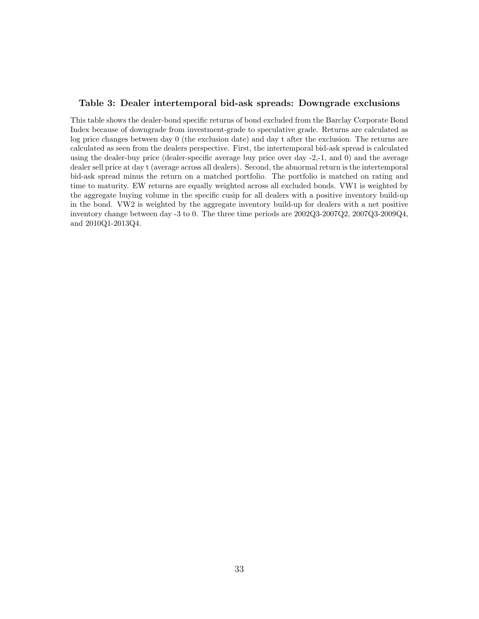#### Table 3: Dealer intertemporal bid-ask spreads: Downgrade exclusions

This table shows the dealer-bond specific returns of bond excluded from the Barclay Corporate Bond Index because of downgrade from investment-grade to speculative grade. Returns are calculated as log price changes between day 0 (the exclusion date) and day t after the exclusion. The returns are calculated as seen from the dealers perspective. First, the intertemporal bid-ask spread is calculated using the dealer-buy price (dealer-specific average buy price over day -2,-1, and 0) and the average dealer sell price at day t (average across all dealers). Second, the abnormal return is the intertemporal bid-ask spread minus the return on a matched portfolio. The portfolio is matched on rating and time to maturity. EW returns are equally weighted across all excluded bonds. VW1 is weighted by the aggregate buying volume in the specific cusip for all dealers with a positive inventory build-up in the bond. VW2 is weighted by the aggregate inventory build-up for dealers with a net positive inventory change between day -3 to 0. The three time periods are 2002Q3-2007Q2, 2007Q3-2009Q4, and 2010Q1-2013Q4.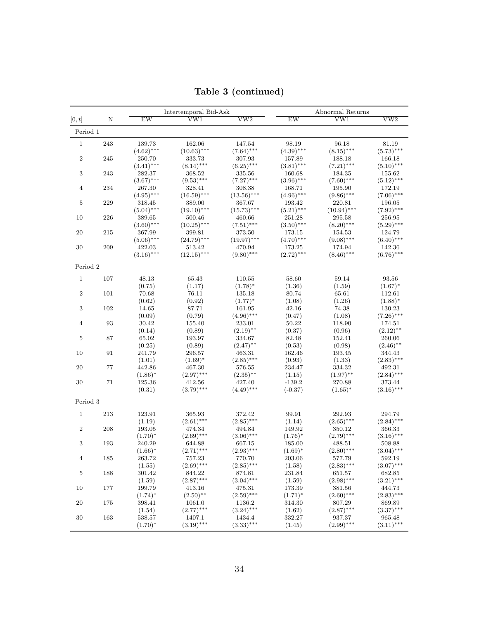|                |        |              | Intertemporal Bid-Ask |                         |              | Abnormal Returns        |                         |
|----------------|--------|--------------|-----------------------|-------------------------|--------------|-------------------------|-------------------------|
| [0, t]         | N      | EW           | VW1                   | $\overline{\text{vw2}}$ | EW           | $\overline{\text{VW1}}$ | $\overline{\text{vw2}}$ |
| Period 1       |        |              |                       |                         |              |                         |                         |
| $\mathbf{1}$   | 243    | 139.73       | 162.06                | 147.54                  | 98.19        | 96.18                   | 81.19                   |
|                |        | $(4.62)$ *** | $(10.63)$ ***         | $(7.64)$ ***            | $(4.39)$ *** | $(8.15)$ ***            | $(5.73)$ ***            |
| $\,2$          | 245    | 250.70       | 333.73                | 307.93                  | 157.89       | 188.18                  | 166.18                  |
|                |        | $(3.41)$ *** | $(8.14)$ ***          | $(6.25)$ ***            | $(3.81)$ *** | $(7.21)$ ***            | $(5.10)$ ***            |
| 3              | 243    | 282.37       | 368.52                | 335.56                  | 160.68       | 184.35                  | 155.62                  |
|                |        | $(3.67)$ *** | $(9.53)$ ***          | $(7.27)$ ***            | $(3.96)$ *** | $(7.60)$ ***            | $(5.12)$ ***            |
| $\overline{4}$ | 234    | 267.30       | 328.41                | 308.38                  | 168.71       | 195.90                  | 172.19                  |
|                |        | $(4.95)$ *** | $(16.59)$ ***         | $(13.56)$ ***           | $(4.96)$ *** | $(9.86)$ ***            | $(7.06)$ ***            |
| 5              | 229    | 318.45       | 389.00                | 367.67                  | 193.42       | 220.81                  | 196.05                  |
|                |        | $(5.04)$ *** | $(19.10)$ ***         | $(15.73)$ ***           | $(5.21)$ *** | $(10.94)$ ***           | $(7.92)$ ***            |
| 10             | 226    | 389.65       | 500.46                | 460.66                  | 251.28       | 295.58                  | 256.95                  |
|                |        | $(3.60)$ *** | $(10.25)$ ***         | $(7.51)$ ***            | $(3.50)$ *** | $(8.20)$ ***            | $(5.29)$ ***            |
| $20\,$         | 215    | 367.99       | 399.81                | 373.50                  | 173.15       | 154.53                  | 124.79                  |
|                |        | $(5.06)$ *** | $(24.79)$ ***         | $(19.97)$ ***           | $(4.70)$ *** | $(9.08)$ ***            | $(6.40)$ ***            |
| 30             | 209    | 422.03       | 513.42                | 470.94                  | 173.25       | 174.94                  | 142.36                  |
|                |        | $(3.16)$ *** | $(12.15)$ ***         | $(9.80)$ ***            | $(2.72)$ *** | $(8.46)$ ***            | $(6.76)$ ***            |
| Period 2       |        |              |                       |                         |              |                         |                         |
| $\mathbf{1}$   | 107    | 48.13        | 65.43                 | 110.55                  | 58.60        | 59.14                   | 93.56                   |
|                |        | (0.75)       | (1.17)                | $(1.78)^*$              | (1.36)       | (1.59)                  | $(1.67)^*$              |
| $\,2$          | 101    | 70.68        | 76.11                 | 135.18                  | 80.74        | 65.61                   | 112.61                  |
|                |        | (0.62)       | (0.92)                | $(1.77)^*$              | (1.08)       | (1.26)                  | $(1.88)^*$              |
| 3              | 102    | 14.65        | 87.71                 | 161.95                  | 42.16        | 74.38                   | 130.23                  |
|                |        | (0.09)       | (0.79)                | $(4.96)$ ***            | (0.47)       | (1.08)                  | $(7.26)$ ***            |
| $\overline{4}$ | 93     | 30.42        | 155.40                | 233.01                  | 50.22        | 118.90                  | 174.51                  |
|                |        | (0.14)       | (0.89)                | $(2.19)$ **             | (0.37)       | (0.96)                  | $(2.12)$ **             |
| 5              | 87     | 65.02        | 193.97                | 334.67                  | 82.48        | 152.41                  | 260.06                  |
|                |        | (0.25)       | (0.89)                | $(2.47)$ **             | (0.53)       | (0.98)                  | $(2.46)$ **             |
| 10             | 91     | 241.79       | 296.57                | 463.31                  | 162.46       | 193.45                  | 344.43                  |
|                |        | (1.01)       | $(1.69)^*$            | $(2.85)$ ***            | (0.93)       | (1.33)                  | $(2.83)$ ***            |
| 20             | 77     | 442.86       | 467.30                | 576.55                  | 234.47       | 334.32                  | 492.31                  |
|                |        | $(1.86)^*$   | $(2.97)$ ***          | $(2.35)$ <sup>**</sup>  | (1.15)       | $(1.97)$ **             | $(2.84)$ ***            |
| 30             | $71\,$ | 125.36       | 412.56                | 427.40                  | $-139.2$     | 270.88                  | 373.44                  |
|                |        | (0.31)       | $(3.79)$ ***          | $(4.49)$ ***            | $(-0.37)$    | $(1.65)^*$              | $(3.16)$ ***            |
| Period 3       |        |              |                       |                         |              |                         |                         |
| $1\,$          | 213    | 123.91       | 365.93                | 372.42                  | 99.91        | 292.93                  | 294.79                  |
|                |        | (1.19)       | $(2.61)$ ***          | $(2.85)$ ***            | (1.14)       | $(2.65)$ ***            | $(2.84)$ ***            |
| $\,2$          | 208    | 193.05       | 474.34                | 494.84                  | 149.92       | 350.12                  | 366.33                  |
|                |        | $(1.70)^*$   | $(2.69)$ ***          | $(3.06)$ ***            | $(1.76)^*$   | $(2.79)$ ***            | $(3.16)$ ***            |
| $\sqrt{3}$     | 193    | 240.29       | 644.88                | 667.15                  | 185.00       | 488.51                  | 508.88                  |
|                |        | $(1.66)^*$   | $(2.71)$ ***          | $(2.93)$ ***            | $(1.69)^*$   | $(2.80)$ ***            | $(3.04)$ ***            |
| $\overline{4}$ | 185    | 263.72       | 757.23                | 770.70                  | 203.06       | 577.79                  | 592.19                  |
|                |        | (1.55)       | $(2.69)$ ***          | $(2.85)$ ***            | (1.58)       | $(2.83)$ ***            | $(3.07)$ ***            |
| $\bf 5$        | 188    | 301.42       | 844.22                | 874.81                  | 231.84       | 651.57                  | 682.85                  |
|                |        | (1.59)       | $(2.87)$ ***          | $(3.04)$ ***            | (1.59)       | $(2.98)$ ***            | $(3.21)$ ***            |
| 10             | 177    | 199.79       | 413.16                | 475.31                  | 173.39       | 381.56                  | 444.73                  |
|                |        | $(1.74)^*$   | $(2.50)$ **           | $(2.59)$ ***            | $(1.71)^*$   | $(2.60)$ ***            | $(2.83)$ ***            |
| 20             | 175    | 398.41       | 1061.0                | 1136.2                  | 314.30       | 807.29                  | 869.89                  |
|                |        | (1.54)       | $(2.77)$ ***          | $(3.24)$ ***            | (1.62)       | $(2.87)$ ***            | $(3.37)$ ***            |
| 30             | 163    | 538.57       | 1407.1                | 1434.4                  | 332.27       | 937.37                  | 965.48                  |
|                |        | $(1.70)^*$   | $(3.19)$ ***          | $(3.33)***$             | (1.45)       | $(2.99)$ ***            | $(3.11)$ ***            |

Table 3 (continued)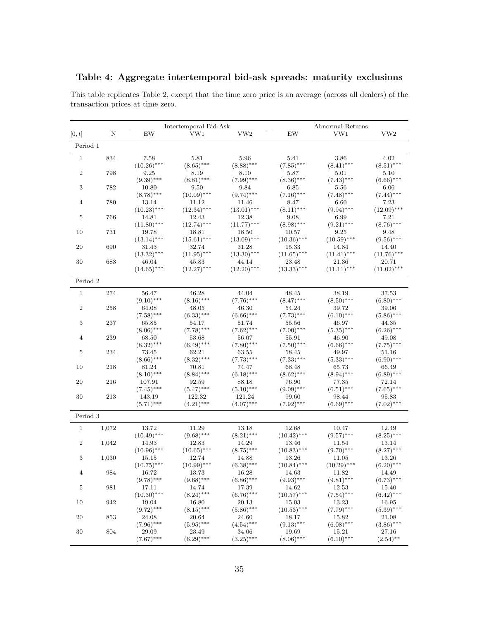| Table 4: Aggregate intertemporal bid-ask spreads: maturity exclusions |  |  |
|-----------------------------------------------------------------------|--|--|
|                                                                       |  |  |

Intertemporal Bid-Ask Abnormal Returns  $[0, t]$  N EW VW1 VW2 EW VW1 VW2 Period 1 1 834 7.58 5.81 5.96 5.41 3.86 4.02  $(10.26)$ <sup>\*\*\*</sup>  $(8.65)$ <sup>\*\*\*</sup>  $(8.88)$ <sup>\*\*\*</sup>  $(7.85)$ <sup>\*\*\*</sup>  $(8.41)$ <sup>\*\*\*</sup>  $(8.51)$ <sup>\*\*\*</sup> 2 798 9.25 8.19 8.10 5.87 5.01 5.10  $(9.39)$ <sup>\*\*\*</sup> (8.81)<sup>\*\*\*</sup> (7.99)<sup>\*\*\*</sup> (8.36)<sup>\*\*\*</sup> (7.43)<sup>\*\*\*</sup> (6.66)<sup>\*\*\*</sup> 3 782 10.80 9.50 9.84 6.85 5.56 6.06  $(8.78)$ <sup>∗∗∗</sup> (10.09)<sup>∗∗∗</sup> (9.74)<sup>∗∗∗</sup> (7.16)<sup>∗∗∗</sup> (7.48)<sup>∗∗∗</sup> (7.44)<sup>∗∗∗</sup> 4 780 13.14 11.12 11.46 8.47 6.60 7.23  $(10.23)$ \*\*\*  $(12.34)$ \*\*\*  $(13.01)$ \*\*\*  $(8.11)$ \*\*\*  $(9.94)$ \*\*\*  $(12.09)$ \*\*\*  $14.81$   $12.43$   $12.38$   $9.08$   $6.99$   $7.21$ 5 766 14.81 12.43 12.38 9.08 6.99 7.21  $(11.80)$ <sup>\*\*\*</sup>  $(12.74)$ \*\*\*  $(11.77)$ \*\*\*  $(8.98)$ \*\*\*  $(9.21)$ \*\*\*  $(8.76)$ \*\*\* 10 731 19.78 18.81 18.50 10.57 9.25 9.48  $(13.14)$ <sup>\*\*\*</sup> (15.61)<sup>\*\*\*</sup> (13.09)<sup>\*\*\*</sup> (10.36)<sup>\*\*\*</sup> (10.59)<sup>\*\*\*</sup> (9.56)\*\*\* 20 690 31.43 32.74 31.28 15.33 14.84 14.40  $(13.32)$ <sup>∗∗∗</sup>  $(11.95)$ <sup>∗∗∗</sup>  $(13.30)$ <sup>∗∗∗</sup>  $(11.65)$ <sup>∗∗∗</sup>  $(11.41)$ <sup>∗∗∗</sup>  $(11.76)$ <sup>∗∗∗</sup> 30 683 46.04 45.83 44.14 23.48 21.36 20.71  $(14.65)$ <sup>∗∗</sup>\*  $(12.27)$ <sup>∗∗∗</sup>  $(12.20)$ <sup>∗∗∗</sup>  $(13.33)$ <sup>∗∗∗</sup>  $(11.11)$ <sup>∗∗∗</sup>  $(11.02)$ <sup>∗∗∗</sup> Period 2 1 274 56.47 46.28 44.04 48.45 38.19 37.53  $(9.10)$ <sup>\*\*\*</sup>  $(8.16)$ <sup>\*\*\*</sup>  $(7.76)$ <sup>\*\*\*</sup>  $(8.47)$ <sup>\*\*\*</sup>  $(8.50)$ <sup>\*\*\*</sup>  $(6.80)$ <sup>\*\*\*</sup> 2 258 64.08 48.05 46.30 54.24 39.72 39.06 (7.58)∗∗∗ (6.33)∗∗∗ (6.66)∗∗∗ (7.73)∗∗∗ (6.10)∗∗∗ (5.86)∗∗∗ 3 237 65.85 54.17 51.74 55.56 46.97 44.35  $(8.06)$ <sup>∗∗∗</sup> (7.78)<sup>∗∗∗</sup> (7.62)<sup>∗∗∗</sup> (7.00)<sup>∗∗∗</sup> (5.35)<sup>∗∗∗</sup> (6.26)<sup>∗∗∗</sup> 4 239 68.50 53.68 56.07 55.91 46.90 49.08  $(8.32)$ \*\*\*  $(6.49)$ \*\*\*  $(7.80)$ \*\*\*  $(7.50)$ \*\*\*  $(6.66)$ \*\*\*  $(7.75)$ \*\*\* 5 234 73.45 62.21 63.55 58.45 49.97 51.16  $(8.66)$ <sup>\*\*\*</sup>  $(8.32)$ <sup>\*\*\*</sup>  $(7.73)$ <sup>\*\*\*</sup>  $(7.33)$ <sup>\*\*\*</sup>  $(5.33)$ <sup>\*\*\*</sup> (6.90)<sup>\*\*\*</sup> 10 218 81.24 70.81 74.47 68.48 65.73 66.49  $(8.10)$ <sup>\*\*\*</sup>  $(8.84)$ <sup>\*\*\*</sup>  $(6.18)$ <sup>\*\*\*</sup>  $(8.62)$ <sup>\*\*\*</sup>  $(8.94)$ <sup>\*\*\*</sup>  $(6.89)$ <sup>\*\*\*</sup> 20 216 107.91 92.59 88.18 76.90 77.35 72.14  $(7.45)$ <sup>∗∗</sup>\*  $(5.47)$ <sup>∗∗</sup>\*  $(5.10)$ <sup>∗∗∗</sup>  $(9.09)$ <sup>∗∗∗</sup>  $(6.51)$ <sup>∗∗∗</sup>  $(7.65)$ <sup>∗∗∗</sup><br>143.19 122.32 121.24 99.60 98.44 95.83 30 213 143.19 122.32 121.24 99.60 98.44 95.83  $(5.71)$ \*\*\*  $(4.21)$ \*\*\*  $(4.07)$ \*\*\*  $(7.92)$ \*\*\*  $(6.69)$ \*\*\*  $(7.02)$ \*\*\* (7.02) Period 3 1 1,072 13.72 11.29 13.18 12.68 10.47 12.49  $(10.49)$ <sup>∗∗∗</sup>  $(9.68)$ <sup>∗∗∗</sup> (8.21)<sup>∗∗∗</sup> (10.42)<sup>∗∗∗</sup> (9.57)<sup>∗∗∗</sup> (8.25)<sup>∗∗∗</sup> 2 1,042 14.93 12.83 14.29 13.46 11.54 13.14  $(10.96)$ <sup>\*\*\*</sup>  $(10.65)$ <sup>\*\*\*</sup>  $(8.75)$ \*\*\*  $(10.83)$ <sup>\*\*\*</sup>  $(9.70)$ \*\*\*  $(8.27)$ \*\*\* 3 1,030 15.15 12.74 14.88 13.26 11.05 13.26  $(10.75)$ <sup>∗∗∗</sup>  $(10.99)$ <sup>∗∗∗</sup>  $(6.38)$ <sup>∗∗∗</sup>  $(10.84)$ <sup>∗∗∗</sup>  $(10.29)$ <sup>∗∗∗</sup>  $(6.20)$ <sup>∗∗∗</sup><br>16.72 13.73 16.28 14.63 11.82 14.49 4 984 16.72 13.73 16.28 14.63 11.82 14.49 (9.78)∗∗∗ (9.68)∗∗∗ (6.86)∗∗∗ (9.93)∗∗∗ (9.81)∗∗∗ (6.73)∗∗∗ 5 981 17.11 14.74 17.39 14.62 12.53 15.40  $(10.30)^{***}$   $(8.24)^{***}$   $(6.76)^{***}$   $(10.57)^{***}$   $(7.54)^{***}$   $(6.42)^{***}$   $(6.42)^{***}$ <br>19.04  $16.80$  20.13  $15.03$   $13.23$   $16.95$ 10 942 19.04 16.80 20.13 15.03 13.23 16.95  $(9.72)$ \*\*\*  $(8.15)$ \*\*\*  $(5.86)$ \*\*\*  $(10.53)$ \*\*\*  $(7.79)$ \*\*\*  $(5.39)$ \*\*\* 20 853 24.08 20.64 24.60 18.17 15.82 21.08  $(7.96)$ <sup>∗∗∗</sup> (5.95)<sup>∗∗∗</sup> (4.54)<sup>∗∗∗</sup> (9.13)<sup>∗∗∗</sup> (6.08)<sup>∗∗∗</sup> (3.86)<sup>∗∗∗</sup> 30 804 29.09 23.49 34.06 19.69 15.21 27.16  $(7.67) * * * \hspace{1cm} 23.49 \hspace{1cm} 34.06 \hspace{1cm} 19.69 \hspace{1cm} 15.21 \hspace{1cm} 27.16 \hspace{1cm} (7.67) * * * \hspace{1cm} (6.29) * * * \hspace{1cm} (3.25) * * * \hspace{1cm} (8.06) * * * \hspace{1cm} (6.10) * * * \hspace{1cm} (2.54) * *$ 

This table replicates Table 2, except that the time zero price is an average (across all dealers) of the transaction prices at time zero.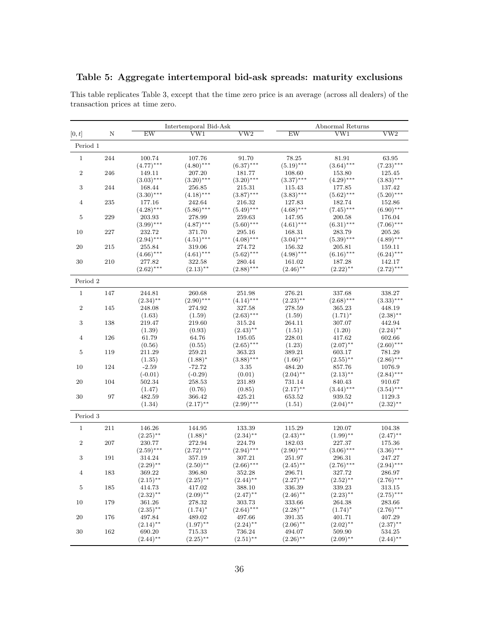### Table 5: Aggregate intertemporal bid-ask spreads: maturity exclusions

|                  |         |              | Intertemporal Bid-Ask   |                         |              | Abnormal Returns        |                         |
|------------------|---------|--------------|-------------------------|-------------------------|--------------|-------------------------|-------------------------|
| [0, t]           | Ν       | EW           | $\overline{\text{VW1}}$ | $\overline{\text{vw2}}$ | EW           | $\overline{\text{VW1}}$ | $\overline{\text{VW2}}$ |
| Period 1         |         |              |                         |                         |              |                         |                         |
| $1\,$            | 244     | 100.74       | 107.76                  | 91.70                   | 78.25        | 81.91                   | 63.95                   |
|                  |         | $(4.77)$ *** | $(4.80)$ ***            | $(6.37)$ ***            | $(5.19)$ *** | $(3.64)$ ***            | $(7.23)$ ***            |
| $\sqrt{2}$       | 246     | 149.11       | 207.20                  | 181.77                  | 108.60       | 153.80                  | 125.45                  |
|                  |         | $(3.03)$ *** | $(3.20)$ ***            | $(3.20)$ ***            | $(3.37)$ *** | $(4.29)$ ***            | $(3.83)$ ***            |
| $\sqrt{3}$       | 244     | 168.44       | 256.85                  | 215.31                  | 115.43       | 177.85                  | 137.42                  |
|                  |         | $(3.30)$ *** | $(4.18)$ ***            | $(3.87)$ ***            | $(3.83)$ *** | $(5.62)$ ***            | $(5.20)$ ***            |
| $\overline{4}$   | 235     | 177.16       | 242.64                  | 216.32                  | 127.83       | 182.74                  | 152.86                  |
|                  |         | $(4.28)$ *** | $(5.86)$ ***            | $(5.49)$ ***            | $(4.68)$ *** | $(7.45)$ ***            | $(6.90)$ ***            |
| 5                | 229     | 203.93       | 278.99                  | 259.63                  | 147.95       | 200.58                  | 176.04                  |
|                  |         | $(3.99)$ *** | $(4.87)$ ***            | $(5.60)$ ***            | $(4.61)$ *** | $(6.31)$ ***            | $(7.06)$ ***            |
| 10               | 227     | 232.72       | 371.70                  | 295.16                  | 168.31       | 283.79                  | 205.26                  |
|                  |         | $(2.94)$ *** | $(4.51)$ ***            | $(4.08)$ ***            | $(3.04)$ *** | $(5.39)$ ***            | $(4.89)$ ***            |
| 20               | 215     | 255.84       | 319.06                  | 274.72                  | 156.32       | 205.81                  | 159.11                  |
|                  |         | $(4.66)$ *** | $(4.61)$ ***            | $(5.62)$ ***            | $(4.98)$ *** | $(6.16)$ ***            | $(6.24)$ ***            |
| 30               | 210     | 277.82       | 322.58                  | 280.44                  | 161.02       | 187.28                  | 142.17                  |
|                  |         | $(2.62)$ *** | $(2.13)$ **             | $(2.88)$ ***            | $(2.46)$ **  | $(2.22)$ **             | $(2.72)$ ***            |
| Period 2         |         |              |                         |                         |              |                         |                         |
| $1\,$            | 147     | 244.81       | 260.68                  | 251.98                  | 276.21       | 337.68                  | 338.27                  |
|                  |         | $(2.34)$ **  | $(2.90)$ ***            | $(4.14)$ ***            | $(2.23)$ **  | $(2.68)$ ***            | $(3.33)$ ***            |
| $\,2$            | 145     | 248.08       | 274.92                  | 327.58                  | 278.59       | 365.23                  | 448.19                  |
|                  |         | (1.63)       | (1.59)                  | $(2.63)$ ***            | (1.59)       | $(1.71)^*$              | $(2.38)$ **             |
| $\sqrt{3}$       | 138     | 219.47       | 219.60                  | 315.24                  | 264.11       | 307.07                  | 442.94                  |
|                  |         | (1.39)       | (0.93)                  | $(2.43)$ **             | (1.51)       | (1.20)                  | $(2.24)$ **             |
| $\overline{4}$   | 126     | 61.79        | 64.76                   | 195.05                  | 228.01       | 417.62                  | 602.66                  |
|                  |         | (0.56)       | (0.55)                  | $(2.65)$ ***            | (1.23)       | $(2.07)$ **             | $(2.60)$ ***            |
| $\bf 5$          | 119     | 211.29       | 259.21                  | 363.23                  | 389.21       | 603.17                  | 781.29                  |
|                  |         | (1.35)       | $(1.88)^*$              | $(3.88)$ ***            | $(1.66)^*$   | $(2.55)$ **             | $(2.86)$ ***            |
| 10               | $124\,$ | $-2.59$      | $-72.72$                | 3.35                    | 484.20       | 857.76                  | 1076.9                  |
|                  |         | $(-0.01)$    | $(-0.29)$               | (0.01)                  | $(2.04)$ **  | $(2.13)$ **             | $(2.84)$ ***            |
| 20               | 104     | 502.34       | 258.53                  | 231.89                  | 731.14       | 840.43                  | 910.67                  |
|                  |         | (1.47)       | (0.76)                  | (0.85)                  | $(2.17)$ **  | $(3.44)$ ***            | $(3.54)$ ***            |
| 30               | 97      | 482.59       | 366.42                  | 425.21                  | 653.52       | 939.52                  | 1129.3                  |
|                  |         | (1.34)       | $(2.17)$ **             | $(2.99)$ ***            | (1.51)       | $(2.04)$ **             | $(2.32)$ **             |
| Period 3         |         |              |                         |                         |              |                         |                         |
| $\mathbf{1}$     | 211     | 146.26       | 144.95                  | 133.39                  | 115.29       | 120.07                  | 104.38                  |
|                  |         | $(2.25)$ **  | $(1.88)$ <sup>*</sup>   | $(2.34)$ **             | $(2.43)$ **  | $(1.99)$ **             | $(2.47)$ **             |
| $\boldsymbol{2}$ | 207     | 230.77       | 272.94                  | 224.79                  | 182.03       | 227.37                  | 175.36                  |
|                  |         | $(2.59)$ *** | $(2.72)$ ***            | $(2.94)$ ***            | $(2.90)$ *** | $(3.06)$ ***            | $(3.36)$ ***            |
| $\sqrt{3}$       | 191     | 314.24       | 357.19                  | 307.21                  | 251.97       | 296.31                  | 247.27                  |
|                  |         | $(2.29)$ **  | $(2.50)$ **             | $(2.66)$ ***            | $(2.45)$ **  | $(2.76)$ ***            | $(2.94)$ ***            |
| $\overline{4}$   | 183     | 369.22       | 396.80                  | 352.28                  | 296.71       | 327.72                  | 286.97                  |
|                  |         | $(2.15)$ **  | $(2.25)$ **             | $(2.44)$ **             | $(2.27)$ **  | $(2.52)$ **             | $(2.76)$ ***            |
| $\bf 5$          | 185     | 414.73       | 417.02                  | 388.10                  | 336.39       | 339.23                  | 313.15                  |
|                  |         | $(2.32)$ **  | $(2.09)$ **             | $(2.47)$ **             | $(2.46)$ **  | $(2.23)$ **             | $(2.75)$ ***            |
| 10               | 179     | 361.26       | 278.32                  | 303.73                  | 333.66       | 264.38                  | 283.66                  |
|                  |         | $(2.35)$ **  | $(1.74)^*$              | $(2.64)$ ***            | $(2.28)$ **  | $(1.74)^*$              | $(2.76)$ ***            |
| 20               | 176     | 497.84       | 489.02                  | 497.66                  | 391.35       | 401.71                  | 407.29                  |
|                  |         | $(2.14)$ **  | $(1.97)$ **             | $(2.24)$ **             | $(2.06)$ **  | $(2.02)$ **             | $(2.37)$ **             |
| $30\,$           | 162     | 690.20       | 715.33                  | 736.24                  | 494.07       | 509.90                  | 534.25                  |
|                  |         | $(2.44)$ **  | $(2.25)$ **             | $(2.51)$ **             | $(2.26)$ **  | $(2.09)$ **             | $(2.44)$ **             |

This table replicates Table 3, except that the time zero price is an average (across all dealers) of the transaction prices at time zero.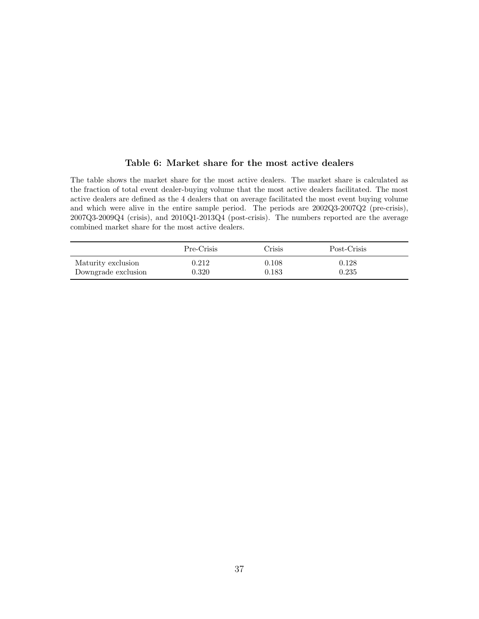#### Table 6: Market share for the most active dealers

The table shows the market share for the most active dealers. The market share is calculated as the fraction of total event dealer-buying volume that the most active dealers facilitated. The most active dealers are defined as the 4 dealers that on average facilitated the most event buying volume and which were alive in the entire sample period. The periods are 2002Q3-2007Q2 (pre-crisis), 2007Q3-2009Q4 (crisis), and 2010Q1-2013Q4 (post-crisis). The numbers reported are the average combined market share for the most active dealers.

|                     | Pre-Crisis | Crisis | Post-Crisis |
|---------------------|------------|--------|-------------|
| Maturity exclusion  | 0.212      | 0.108  | 0.128       |
| Downgrade exclusion | 0.320      | 0.183  | 0.235       |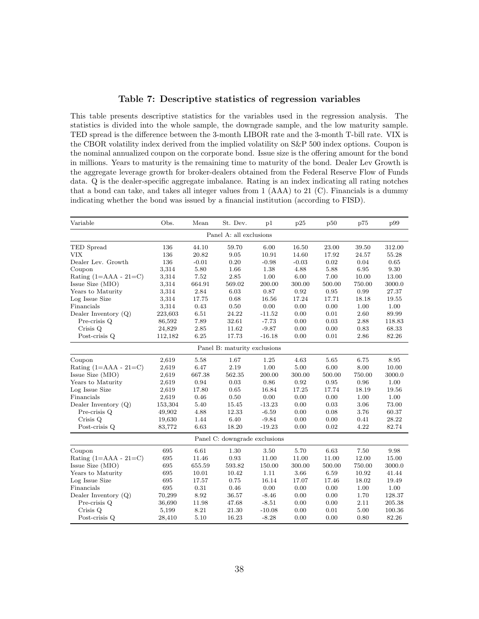#### Table 7: Descriptive statistics of regression variables

This table presents descriptive statistics for the variables used in the regression analysis. The statistics is divided into the whole sample, the downgrade sample, and the low maturity sample. TED spread is the difference between the 3-month LIBOR rate and the 3-month T-bill rate. VIX is the CBOR volatility index derived from the implied volatility on S&P 500 index options. Coupon is the nominal annualized coupon on the corporate bond. Issue size is the offering amount for the bond in millions. Years to maturity is the remaining time to maturity of the bond. Dealer Lev Growth is the aggregate leverage growth for broker-dealers obtained from the Federal Reserve Flow of Funds data. Q is the dealer-specific aggregate imbalance. Rating is an index indicating all rating notches that a bond can take, and takes all integer values from  $1$  (AAA) to  $21$  (C). Financials is a dummy indicating whether the bond was issued by a financial institution (according to FISD).

| Variable                    | Obs.                          | Mean    | St. Dev.                     | p1       | p25      | p50      | p75    | p99    |  |
|-----------------------------|-------------------------------|---------|------------------------------|----------|----------|----------|--------|--------|--|
|                             |                               |         | Panel A: all exclusions      |          |          |          |        |        |  |
| TED Spread                  | 136                           | 44.10   | 59.70                        | 6.00     | 16.50    | 23.00    | 39.50  | 312.00 |  |
| <b>VIX</b>                  | 136                           | 20.82   | 9.05                         | 10.91    | 14.60    | 17.92    | 24.57  | 55.28  |  |
| Dealer Lev. Growth          | 136                           | $-0.01$ | 0.20                         | $-0.98$  | $-0.03$  | 0.02     | 0.04   | 0.65   |  |
| Coupon                      | 3,314                         | 5.80    | 1.66                         | 1.38     | 4.88     | 5.88     | 6.95   | 9.30   |  |
| Rating $(1 = AAA - 21 = C)$ | 3,314                         | 7.52    | 2.85                         | 1.00     | 6.00     | 7.00     | 10.00  | 13.00  |  |
| Issue Size (MIO)            | 3,314                         | 664.91  | 569.02                       | 200.00   | 300.00   | 500.00   | 750.00 | 3000.0 |  |
| Years to Maturity           | 3,314                         | 2.84    | 6.03                         | 0.87     | 0.92     | 0.95     | 0.99   | 27.37  |  |
| Log Issue Size              | 3,314                         | 17.75   | 0.68                         | 16.56    | 17.24    | 17.71    | 18.18  | 19.55  |  |
| Financials                  | 3,314                         | 0.43    | 0.50                         | 0.00     | 0.00     | 0.00     | 1.00   | 1.00   |  |
| Dealer Inventory (Q)        | 223,603                       | 6.51    | 24.22                        | $-11.52$ | $0.00\,$ | $0.01\,$ | 2.60   | 89.99  |  |
| Pre-crisis Q                | 86,592                        | 7.89    | 32.61                        | $-7.73$  | 0.00     | 0.03     | 2.88   | 118.83 |  |
| Crisis Q                    | 24,829                        | 2.85    | 11.62                        | $-9.87$  | $0.00\,$ | 0.00     | 0.83   | 68.33  |  |
| Post-crisis Q               | 112,182                       | 6.25    | 17.73                        | $-16.18$ | 0.00     | 0.01     | 2.86   | 82.26  |  |
|                             |                               |         | Panel B: maturity exclusions |          |          |          |        |        |  |
| Coupon                      | 2,619                         | 5.58    | 1.67                         | 1.25     | 4.63     | 5.65     | 6.75   | 8.95   |  |
| Rating $(1 = AAA - 21 = C)$ | 2,619                         | 6.47    | 2.19                         | $1.00\,$ | 5.00     | $6.00\,$ | 8.00   | 10.00  |  |
| Issue Size (MIO)            | 2,619                         | 667.38  | 562.35                       | 200.00   | 300.00   | 500.00   | 750.00 | 3000.0 |  |
| Years to Maturity           | 2,619                         | 0.94    | 0.03                         | 0.86     | 0.92     | 0.95     | 0.96   | 1.00   |  |
| Log Issue Size              | 2,619                         | 17.80   | 0.65                         | 16.84    | 17.25    | 17.74    | 18.19  | 19.56  |  |
| Financials                  | 2,619                         | 0.46    | 0.50                         | 0.00     | 0.00     | 0.00     | 1.00   | 1.00   |  |
| Dealer Inventory (Q)        | 153,304                       | 5.40    | 15.45                        | $-13.23$ | $0.00\,$ | 0.03     | 3.06   | 73.00  |  |
| Pre-crisis Q                | 49,902                        | 4.88    | 12.33                        | $-6.59$  | 0.00     | 0.08     | 3.76   | 60.37  |  |
| Crisis Q                    | 19,630                        | 1.44    | 6.40                         | $-9.84$  | $0.00\,$ | 0.00     | 0.41   | 28.22  |  |
| Post-crisis Q               | 83,772                        | 6.63    | 18.20                        | $-19.23$ | 0.00     | 0.02     | 4.22   | 82.74  |  |
|                             | Panel C: downgrade exclusions |         |                              |          |          |          |        |        |  |
| Coupon                      | 695                           | 6.61    | 1.30                         | 3.50     | 5.70     | 6.63     | 7.50   | 9.98   |  |
| Rating $(1 = AAA - 21 = C)$ | 695                           | 11.46   | 0.93                         | 11.00    | 11.00    | 11.00    | 12.00  | 15.00  |  |
| Issue Size (MIO)            | 695                           | 655.59  | 593.82                       | 150.00   | 300.00   | 500.00   | 750.00 | 3000.0 |  |
| Years to Maturity           | 695                           | 10.01   | 10.42                        | 1.11     | 3.66     | 6.59     | 10.92  | 41.44  |  |
| Log Issue Size              | 695                           | 17.57   | 0.75                         | 16.14    | 17.07    | 17.46    | 18.02  | 19.49  |  |
| Financials                  | 695                           | 0.31    | 0.46                         | 0.00     | 0.00     | 0.00     | 1.00   | 1.00   |  |
| Dealer Inventory $(Q)$      | 70,299                        | 8.92    | 36.57                        | $-8.46$  | $0.00\,$ | 0.00     | 1.70   | 128.37 |  |
| Pre-crisis Q                | 36,690                        | 11.98   | 47.68                        | $-8.51$  | 0.00     | 0.00     | 2.11   | 205.38 |  |
| Crisis Q                    | 5,199                         | 8.21    | 21.30                        | $-10.08$ | 0.00     | 0.01     | 5.00   | 100.36 |  |
| Post-crisis Q               | 28,410                        | 5.10    | 16.23                        | $-8.28$  | 0.00     | 0.00     | 0.80   | 82.26  |  |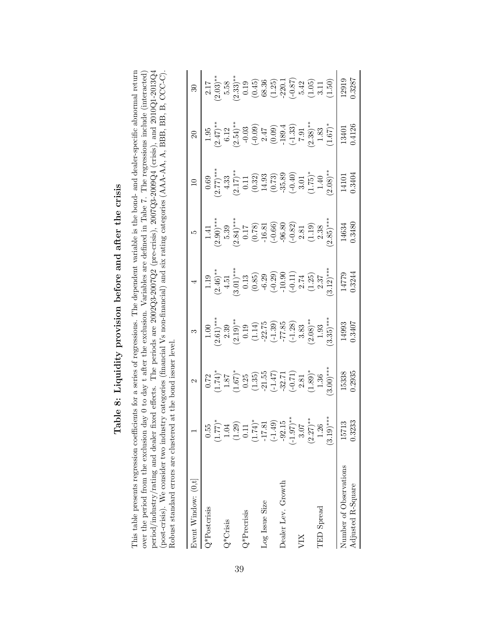| ֺ֧֧ׅ֧֧֧֦֧ׅ֧֧֧֦֧ׅ֧֛ׅ֧֛֛֧֦֧ׅ֧֛֛֪֛֧֛֧֛֧֛֧֛֧֛֧֛֧֛֚֚֚֚֚֚֚֚֕֓֕֓֝֬֜֓֓֝֓֝֓֜֓֓֝֬֝֓֜֓֜֓֓֜֓֓֓֓                                                                    |
|--------------------------------------------------------------------------------------------------------------------------------------------------------|
| $-1$<br>)<br> }                                                                                                                                        |
| i                                                                                                                                                      |
| .<br>Christian<br>Christian<br>Christian<br>Christian<br>֧֧ׅ֧ׅ֧֧ׅ֧ׅ֧֧ׅ֧ׅ֧ׅ֧֧ׅ֧֧ׅ֧֧ׅ֧֛֛֛֛֛֛֛֛֛֛֚֚֚֚֚֚֚֚֚֚֚֚֚֚֚֚֚֚֚֚֚֚֚֚֚֚֚֚֚֚֝֝֟֜֓֝֬֜֓֜֓֝֬֜֜֜֝֬֜֝֬֜֝֬֝֜ |
| こうしょう こうしょう こうしゅう しょう                                                                                                                                  |
| I<br>֧֢ׅ֧ׅ֧֧֧֦֧֧֦֧֚֚֚֚֚֚֚֚֚֚֚֚֚֚֚֚֚֚֚֚֚֬֜֓֝֓֝֓֓                                                                                                        |
| I                                                                                                                                                      |
| $\overline{\phantom{a}}$<br>I                                                                                                                          |

period/industry/rating and dealer fixed effects. The periods are  $2002Q3-2007Q2$  (pre-crisis),  $2007Q3-2009Q4$  (crisis), and  $2010Q1-2013Q4$  (post-crisis). We consider two industry categories (financial Vs non-financial) This table presents regression coefficients for a series of regressions. The dependent variable is the bond- and dealer-specific abnormal return over the period from the exclusion day 0 to day t after the exclusion. Variables are defined in Tabe 7. The regressions include (interacted) This table presents regression coefficients for a series of regressions. The dependent variable is the bond- and dealer-specific abnormal return over the period from the exclusion day 0 to day t after the exclusion. Variables are defined in Tabe 7. The regressions include (interacted) period/industry/rating and dealer fixed effects. The periods are 2002Q3-2007Q2 (pre-crisis), 2007Q3-2009Q4 (crisis), and 2010Q1-2013Q4 (post-crisis). We consider two industry categories (financial Vs non-financial) and six rating categories (AAA-AA, A, BBB, BB, B, CCC-C). Robust standard errors are clustered at the bond issuer level. Robust standard errors are clustered at the bond issuer level.

| Event Window: (0,t]    |                        | $\mathbf{\Omega}$                                                                                                                                                                                                                                                                                                                       | $\infty$                                                                                                                                                                                                                 |                                                                                                                                                                         |                                                                                                                                                    | $\overline{10}$                                                                                                                                                                                                                                                                                                                        | $\Omega$                                                                                                                                                                                                                                                                                                                                                         | $\overline{\mathcal{E}}$                                                                                                                                                                                                                                                                                                                               |
|------------------------|------------------------|-----------------------------------------------------------------------------------------------------------------------------------------------------------------------------------------------------------------------------------------------------------------------------------------------------------------------------------------|--------------------------------------------------------------------------------------------------------------------------------------------------------------------------------------------------------------------------|-------------------------------------------------------------------------------------------------------------------------------------------------------------------------|----------------------------------------------------------------------------------------------------------------------------------------------------|----------------------------------------------------------------------------------------------------------------------------------------------------------------------------------------------------------------------------------------------------------------------------------------------------------------------------------------|------------------------------------------------------------------------------------------------------------------------------------------------------------------------------------------------------------------------------------------------------------------------------------------------------------------------------------------------------------------|--------------------------------------------------------------------------------------------------------------------------------------------------------------------------------------------------------------------------------------------------------------------------------------------------------------------------------------------------------|
| Q*Postcrisis           | 0.55                   |                                                                                                                                                                                                                                                                                                                                         | $\begin{array}{c c} 1.00 & 1.00 \\ 2.61)^{***} & 2.39 \\ 2.39 & 0.19 \\ 0.19 & -22.75 \\ -1.4 & -77.85 \\ -1.39 & -77.85 \\ -1.28 & 3.83 \\ -1.28 & 3.83 \\ -1.93 & 3.35 \\ -1.93 & 3.35 \\ -1.93 & 3.35 \\ \end{array}$ |                                                                                                                                                                         |                                                                                                                                                    |                                                                                                                                                                                                                                                                                                                                        |                                                                                                                                                                                                                                                                                                                                                                  |                                                                                                                                                                                                                                                                                                                                                        |
|                        | $1.77$ <sup>*</sup>    |                                                                                                                                                                                                                                                                                                                                         |                                                                                                                                                                                                                          |                                                                                                                                                                         |                                                                                                                                                    |                                                                                                                                                                                                                                                                                                                                        |                                                                                                                                                                                                                                                                                                                                                                  |                                                                                                                                                                                                                                                                                                                                                        |
| $Q*$ Crisis            | 1.04                   |                                                                                                                                                                                                                                                                                                                                         |                                                                                                                                                                                                                          |                                                                                                                                                                         |                                                                                                                                                    |                                                                                                                                                                                                                                                                                                                                        |                                                                                                                                                                                                                                                                                                                                                                  |                                                                                                                                                                                                                                                                                                                                                        |
|                        | (1.29)                 |                                                                                                                                                                                                                                                                                                                                         |                                                                                                                                                                                                                          |                                                                                                                                                                         |                                                                                                                                                    |                                                                                                                                                                                                                                                                                                                                        |                                                                                                                                                                                                                                                                                                                                                                  |                                                                                                                                                                                                                                                                                                                                                        |
| 2*Precrisis            | 0.11                   |                                                                                                                                                                                                                                                                                                                                         |                                                                                                                                                                                                                          |                                                                                                                                                                         |                                                                                                                                                    |                                                                                                                                                                                                                                                                                                                                        |                                                                                                                                                                                                                                                                                                                                                                  |                                                                                                                                                                                                                                                                                                                                                        |
|                        | $1.74$ <sup>*</sup>    |                                                                                                                                                                                                                                                                                                                                         |                                                                                                                                                                                                                          |                                                                                                                                                                         |                                                                                                                                                    |                                                                                                                                                                                                                                                                                                                                        |                                                                                                                                                                                                                                                                                                                                                                  |                                                                                                                                                                                                                                                                                                                                                        |
| Log Issue Size         | $-17.81$               |                                                                                                                                                                                                                                                                                                                                         |                                                                                                                                                                                                                          |                                                                                                                                                                         |                                                                                                                                                    |                                                                                                                                                                                                                                                                                                                                        |                                                                                                                                                                                                                                                                                                                                                                  |                                                                                                                                                                                                                                                                                                                                                        |
|                        | $(-1.49)$              |                                                                                                                                                                                                                                                                                                                                         |                                                                                                                                                                                                                          |                                                                                                                                                                         |                                                                                                                                                    |                                                                                                                                                                                                                                                                                                                                        |                                                                                                                                                                                                                                                                                                                                                                  |                                                                                                                                                                                                                                                                                                                                                        |
| Dealer Lev. Growth     | $-92.15$               |                                                                                                                                                                                                                                                                                                                                         |                                                                                                                                                                                                                          |                                                                                                                                                                         |                                                                                                                                                    |                                                                                                                                                                                                                                                                                                                                        |                                                                                                                                                                                                                                                                                                                                                                  |                                                                                                                                                                                                                                                                                                                                                        |
|                        | $(-1.97)$ **           |                                                                                                                                                                                                                                                                                                                                         |                                                                                                                                                                                                                          |                                                                                                                                                                         |                                                                                                                                                    |                                                                                                                                                                                                                                                                                                                                        |                                                                                                                                                                                                                                                                                                                                                                  |                                                                                                                                                                                                                                                                                                                                                        |
| VIХ                    | 3.07                   |                                                                                                                                                                                                                                                                                                                                         |                                                                                                                                                                                                                          |                                                                                                                                                                         |                                                                                                                                                    |                                                                                                                                                                                                                                                                                                                                        |                                                                                                                                                                                                                                                                                                                                                                  |                                                                                                                                                                                                                                                                                                                                                        |
|                        | $(2.27)$ <sup>**</sup> |                                                                                                                                                                                                                                                                                                                                         |                                                                                                                                                                                                                          |                                                                                                                                                                         |                                                                                                                                                    |                                                                                                                                                                                                                                                                                                                                        |                                                                                                                                                                                                                                                                                                                                                                  |                                                                                                                                                                                                                                                                                                                                                        |
| <b>TED</b> Spread      | 1.26                   |                                                                                                                                                                                                                                                                                                                                         |                                                                                                                                                                                                                          |                                                                                                                                                                         |                                                                                                                                                    |                                                                                                                                                                                                                                                                                                                                        |                                                                                                                                                                                                                                                                                                                                                                  |                                                                                                                                                                                                                                                                                                                                                        |
|                        | $(3.19)$ ***           | $\begin{array}{c} 0.72 \\ (1.74)^{*} \\ (1.87) \\ (1.67)^{*} \\ (1.95) \\ (1.35) \\ (1.36) \\ (-1.47) \\ (1.47) \\ (-0.71) \\ (0.89)^{*}} \\ (1.36) \\ (1.36) \\ (1.36) \\ (1.36) \\ (1.36) \\ (1.36) \\ (1.36) \\ (1.36) \\ (1.36) \\ (1.36) \\ (1.36) \\ (1.36) \\ (1.36) \\ (1.36) \\ (1.36) \\ (1.36) \\ (1.36) \\ (1.36) \\ (1.36$ |                                                                                                                                                                                                                          | 1.19<br>$(2.46)^{**}$<br>$(3.61)^{**}$<br>$(3.61)^{**}$<br>$(0.13)$<br>$(0.85)$<br>$(0.39)$<br>$(0.29)$<br>$(1.25)$<br>$(1.25)$<br>$(1.27)$<br>$(1.4779)$<br>$(1.4779)$ | 1.41<br>$(2.90)$ ***<br>5.39<br>$(0.78)$<br>$(0.78)$<br>$(0.66)$<br>$(0.66)$<br>$(0.60)$<br>$(0.82)$<br>$(0.38)$<br>$(1.9)$<br>$(0.38)$<br>$(1.9)$ | $\begin{array}{c} 0.69 \\ (2.77)^{**} \\ (4.33 \\ (0.11 \\ (0.32) \\ (0.73) \\ (0.73) \\ (0.73) \\ (0.73) \\ (0.74) \\ (0.40) \\ (1.75)^{*}\\ (1.40) \\ (2.08)^{**} \\ (2.08)^{*} \\ (2.09) \\ (2.01) \\ (2.01) \\ (2.01) \\ (2.02) \\ (2.03) \\ (2.03) \\ (2.01) \\ (2.01) \\ (2.02) \\ (2.03) \\ (2.03) \\ (2.03) \\ (2.03) \\ (2.0$ | $\begin{array}{c} 1.95 \\ (2.47)^{* \ast} \\ (6.12 \\ (0.03 \\ (0.009 \\ (-0.009 \\ (-0.034)^{* \ast} \\ (1.33) \\ (-1.33) \\ (-1.33) \\ (-1.33) \\ (-1.33) \\ (-1.33) \\ (-1.33) \\ (-1.33) \\ (-1.33) \\ (-1.33) \\ (-1.33) \\ (-1.33) \\ (-1.33) \\ (-1.33) \\ (-1.33) \\ (-1.33) \\ (-1.33) \\ (-1.33) \\ (-1.33) \\ (-1.33) \\ (-1.33) \\ (-1.33) \\ (-1.3$ | $\begin{array}{c c} 2.17 \\ (2.03)_{\ast}^{**} \\ 5.58 \\ (2.33)_{\ast}^{**} \\ (0.45)_{\ast} \\ (0.45)_{\ast} \\ (0.45)_{\ast} \\ (1.25)_{\ast} \\ (1.66)_{\ast} \\ (1.67)_{\ast} \\ (1.50)_{\ast} \\ (1.50)_{\ast} \\ (1.50)_{\ast} \\ (1.50)_{\ast} \\ (1.50)_{\ast} \\ (1.50)_{\ast} \\ (1.50)_{\ast} \\ (1.50)_{\ast} \\ (1.50)_{\ast} \\ (1.50)$ |
| Number of Observations | 15713                  | 15338                                                                                                                                                                                                                                                                                                                                   | 14993<br>0.3407                                                                                                                                                                                                          |                                                                                                                                                                         | 14634                                                                                                                                              | $\begin{array}{c}\n14101 \\ \end{array}$                                                                                                                                                                                                                                                                                               | 13401                                                                                                                                                                                                                                                                                                                                                            |                                                                                                                                                                                                                                                                                                                                                        |
| Adjusted R-Square      | 0.3233                 | 1.2935                                                                                                                                                                                                                                                                                                                                  |                                                                                                                                                                                                                          |                                                                                                                                                                         | 0.3480                                                                                                                                             | 0.3404                                                                                                                                                                                                                                                                                                                                 | 0.4126                                                                                                                                                                                                                                                                                                                                                           | 1.3287                                                                                                                                                                                                                                                                                                                                                 |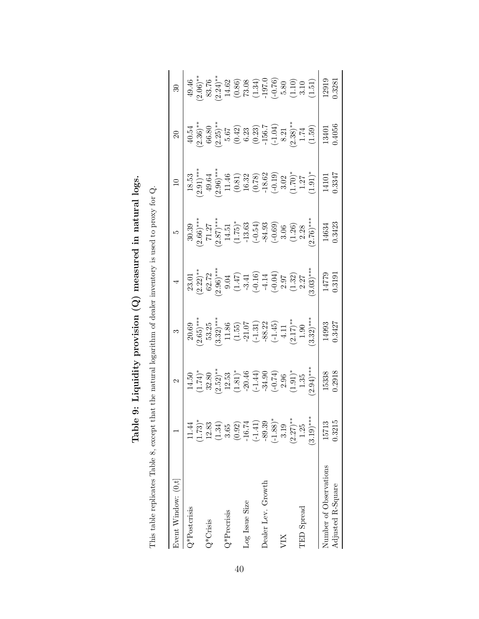| This table replicates Table 8, except that the natural logarithm of dealer inventory is used to proxy for $Q$ . |              |                                                                                           |                                                                                                        |                                                                                                                                                                                                                      |                                                                                         |                                                                                                   |                                                                           |                                                                                                                                                                                                                                                                                                                                                                                                                                                               |
|-----------------------------------------------------------------------------------------------------------------|--------------|-------------------------------------------------------------------------------------------|--------------------------------------------------------------------------------------------------------|----------------------------------------------------------------------------------------------------------------------------------------------------------------------------------------------------------------------|-----------------------------------------------------------------------------------------|---------------------------------------------------------------------------------------------------|---------------------------------------------------------------------------|---------------------------------------------------------------------------------------------------------------------------------------------------------------------------------------------------------------------------------------------------------------------------------------------------------------------------------------------------------------------------------------------------------------------------------------------------------------|
| Event Window: $(0, t]$                                                                                          |              | 2                                                                                         | S                                                                                                      |                                                                                                                                                                                                                      | S                                                                                       | $\Box$                                                                                            | $\mathcal{S}$                                                             | Z                                                                                                                                                                                                                                                                                                                                                                                                                                                             |
| Q*Postcrisis                                                                                                    | 1.44         | 14.50                                                                                     | 20.69                                                                                                  | 23.01                                                                                                                                                                                                                | 30.39                                                                                   | 18.53                                                                                             | 40.54                                                                     | 49.46                                                                                                                                                                                                                                                                                                                                                                                                                                                         |
|                                                                                                                 | $(1.73)^*$   | $(1.74)$ *                                                                                | $2.65$ <sup>***</sup>                                                                                  | $\frac{(2.22)*}{62.72}$                                                                                                                                                                                              | $(2.66)$ ***                                                                            | $(2.91)$ ***                                                                                      | $2.36$ <sup>**</sup>                                                      | $2.06$ <sup>**</sup>                                                                                                                                                                                                                                                                                                                                                                                                                                          |
| $Q^*$ Crisis                                                                                                    | 12.83        | 32.80                                                                                     | 53.25                                                                                                  |                                                                                                                                                                                                                      |                                                                                         | 49.64                                                                                             | 66.80                                                                     | 83.76                                                                                                                                                                                                                                                                                                                                                                                                                                                         |
|                                                                                                                 | (1.34)       | $(2.52)$ **                                                                               | $(3.32)^{***}$                                                                                         |                                                                                                                                                                                                                      | $\begin{array}{c} 71.27 \\ (2.87) ^{***} \\ 14.51 \\ (1.75) ^{*} \\ -13.63 \end{array}$ |                                                                                                   | $(2.25)$ **                                                               |                                                                                                                                                                                                                                                                                                                                                                                                                                                               |
| $Q^*$ Precrisis                                                                                                 | 3.65         |                                                                                           |                                                                                                        |                                                                                                                                                                                                                      |                                                                                         |                                                                                                   |                                                                           |                                                                                                                                                                                                                                                                                                                                                                                                                                                               |
|                                                                                                                 | (0.92)       |                                                                                           |                                                                                                        |                                                                                                                                                                                                                      |                                                                                         |                                                                                                   |                                                                           |                                                                                                                                                                                                                                                                                                                                                                                                                                                               |
| Log Issue Size                                                                                                  | $-16.74$     |                                                                                           |                                                                                                        |                                                                                                                                                                                                                      |                                                                                         |                                                                                                   |                                                                           |                                                                                                                                                                                                                                                                                                                                                                                                                                                               |
|                                                                                                                 | $(-1.41)$    |                                                                                           |                                                                                                        |                                                                                                                                                                                                                      | $(-0.54)$                                                                               |                                                                                                   | $\begin{array}{c} 5.67 \\ (0.42) \\ 6.23 \\ (0.23) \\ -156.7 \end{array}$ |                                                                                                                                                                                                                                                                                                                                                                                                                                                               |
| Dealer Lev. Growth                                                                                              | $-89.39$     |                                                                                           |                                                                                                        |                                                                                                                                                                                                                      | $-84.93$                                                                                |                                                                                                   |                                                                           |                                                                                                                                                                                                                                                                                                                                                                                                                                                               |
|                                                                                                                 | $(-1.88)$    | $\begin{array}{c} 12.53 \\ (1.81)^* \\ -20.46 \\ (-1.44) \\ -34.90 \\ \hline \end{array}$ | $\begin{array}{c} 11.86 \\ (1.55) \\ -21.07 \\ (-1.31) \\ -88.22 \\ (-1.45) \\ (-1.45) \\ \end{array}$ |                                                                                                                                                                                                                      |                                                                                         |                                                                                                   | $\left( -1.04\right)$ $8.21$                                              |                                                                                                                                                                                                                                                                                                                                                                                                                                                               |
| VIХ                                                                                                             | 3.19         |                                                                                           |                                                                                                        |                                                                                                                                                                                                                      |                                                                                         |                                                                                                   |                                                                           |                                                                                                                                                                                                                                                                                                                                                                                                                                                               |
|                                                                                                                 | $(2.27)$ **  | $\left(1.91\right)^{*}$<br>1.35                                                           | $(2.17)$ **                                                                                            | $\begin{array}{c} (2.96)_{\ast\ast\ast} \\ (3.04)_{\ast\ast} \\ (1.47)_{\ast\ast} \\ (1.47)_{\ast\ast} \\ (4.16)_{\ast\ast} \\ (1.06)_{\ast\ast} \\ (1.02)_{\ast\ast} \\ (1.32)_{\ast} \\ (1.32)_{\ast} \end{array}$ | $\begin{array}{c} ( -0.69 ) \\ 3.06 \\ ( 1.26 ) \\ 2.28 \end{array}$                    | $(2.96)$<br>***<br>11.46<br>16.32<br>(0.81)<br>(0.82<br>(0.78)<br>-3.02<br>3.02<br>3.02<br>(1.70) | $2.38)***$                                                                | $\begin{array}{l} \left( \begin{matrix} 2.24\\ 1.462\\ 1.36 \end{matrix} \right)\\ \left( \begin{matrix} 0.86\\ 0.36 \end{matrix} \right)\\ \left( \begin{matrix} 0.34\\ 1.34 \end{matrix} \right)\\ \left( \begin{matrix} 1.34\\ -1.97.0\\ 0.76 \end{matrix} \right)\\ \left( \begin{matrix} -0.76\\ -0.10 \end{matrix} \right)\\ \left( \begin{matrix} 1.10\\ -0.10 \end{matrix} \right)\\ \left( \begin{matrix} 1.10\\ -0.10 \end{matrix} \right)\\ \left$ |
| TED Spread                                                                                                      | 1.25         |                                                                                           | $1.90\,$                                                                                               |                                                                                                                                                                                                                      |                                                                                         |                                                                                                   | $1.74\,$                                                                  |                                                                                                                                                                                                                                                                                                                                                                                                                                                               |
|                                                                                                                 | $(3.19)$ *** | $2.94$ <sup>***</sup>                                                                     | $3.32$ <sup>***</sup>                                                                                  | $3.03)***$                                                                                                                                                                                                           | $(2.76)$ ***                                                                            | $(1.91)^*$                                                                                        | (1.59)                                                                    | (1.51)                                                                                                                                                                                                                                                                                                                                                                                                                                                        |
| Number of Observations                                                                                          | 15713        | 15338                                                                                     | 14993                                                                                                  | 14779                                                                                                                                                                                                                | 14634                                                                                   | 14101                                                                                             | 13401                                                                     | 12919                                                                                                                                                                                                                                                                                                                                                                                                                                                         |
| Adjusted R-Square                                                                                               | 0.3215       | 0.2918                                                                                    | 0.3427                                                                                                 | 0.3191                                                                                                                                                                                                               | 0.3423                                                                                  | 0.3347                                                                                            | 0.4056                                                                    | 0.3281                                                                                                                                                                                                                                                                                                                                                                                                                                                        |

| !<br>١          |
|-----------------|
|                 |
| l               |
| $C_1$<br>)<br>I |
| Í               |
|                 |
|                 |
| こくししょう<br>ı     |
| i<br>ĺ          |
|                 |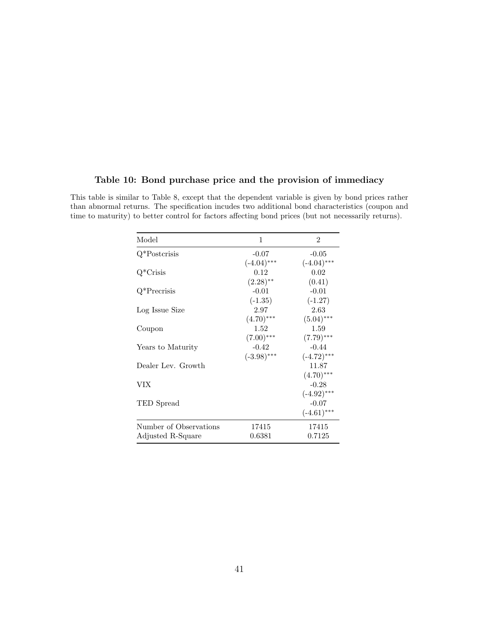#### Table 10: Bond purchase price and the provision of immediacy

This table is similar to Table 8, except that the dependent variable is given by bond prices rather than abnormal returns. The specification incudes two additional bond characteristics (coupon and time to maturity) to better control for factors affecting bond prices (but not necessarily returns).

| Model                  | 1             | $\overline{2}$ |
|------------------------|---------------|----------------|
| $Q^*$ Postcrisis       | $-0.07$       | $-0.05$        |
|                        | $(-4.04)$ *** | $(-4.04)$ ***  |
| $Q^*$ Crisis           | 0.12          | 0.02           |
|                        | $(2.28)$ **   | (0.41)         |
| $Q^*$ Precrisis        | $-0.01$       | $-0.01$        |
|                        | $(-1.35)$     | $(-1.27)$      |
| Log Issue Size         | 2.97          | 2.63           |
|                        | $(4.70)$ ***  | $(5.04)$ ***   |
| Coupon                 | 1.52          | 1.59           |
|                        | $(7.00)$ ***  | $(7.79)$ ***   |
| Years to Maturity      | $-0.42$       | $-0.44$        |
|                        | $(-3.98)$ *** | $(-4.72)$ ***  |
| Dealer Lev. Growth     |               | 11.87          |
|                        |               | $(4.70)$ ***   |
| VIX                    |               | $-0.28$        |
|                        |               | $(-4.92)$ ***  |
| TED Spread             |               | $-0.07$        |
|                        |               | $(-4.61)$ ***  |
| Number of Observations | 17415         | 17415          |
| Adjusted R-Square      | 0.6381        | 0.7125         |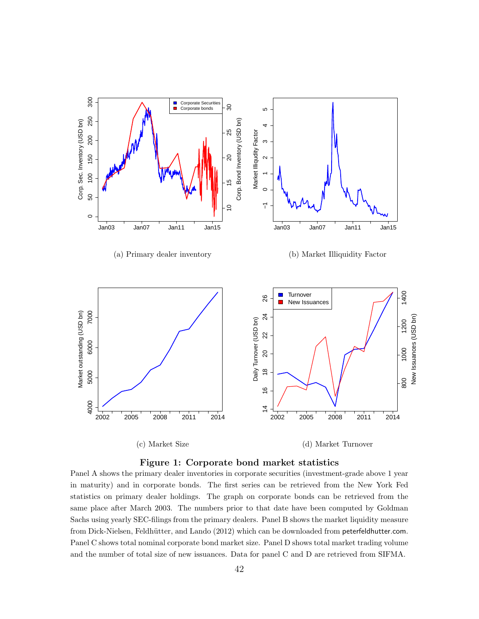



Panel A shows the primary dealer inventories in corporate securities (investment-grade above 1 year in maturity) and in corporate bonds. The first series can be retrieved from the New York Fed statistics on primary dealer holdings. The graph on corporate bonds can be retrieved from the same place after March 2003. The numbers prior to that date have been computed by Goldman Sachs using yearly SEC-filings from the primary dealers. Panel B shows the market liquidity measure from Dick-Nielsen, Feldhütter, and Lando (2012) which can be downloaded from peterfeldhutter.com. Panel C shows total nominal corporate bond market size. Panel D shows total market trading volume and the number of total size of new issuances. Data for panel C and D are retrieved from SIFMA.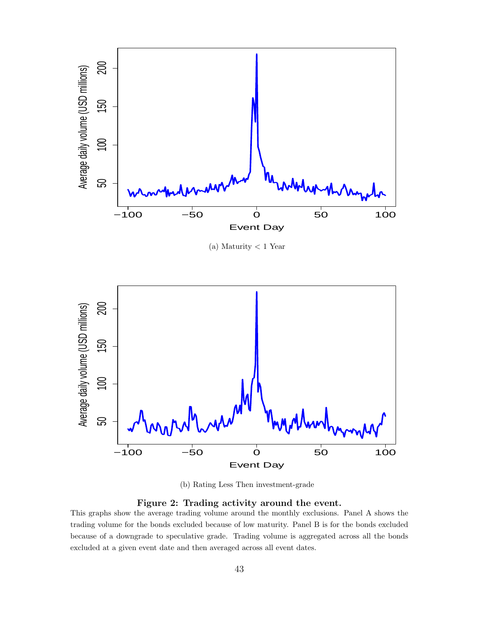

(a) Maturity < 1 Year



(b) Rating Less Then investment-grade

Figure 2: Trading activity around the event.

This graphs show the average trading volume around the monthly exclusions. Panel A shows the trading volume for the bonds excluded because of low maturity. Panel B is for the bonds excluded because of a downgrade to speculative grade. Trading volume is aggregated across all the bonds excluded at a given event date and then averaged across all event dates.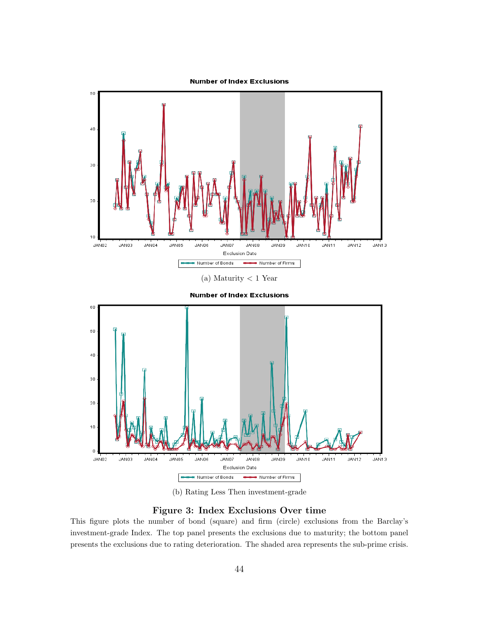

**Number of Index Exclusions** 



(b) Rating Less Then investment-grade

#### Figure 3: Index Exclusions Over time

This figure plots the number of bond (square) and firm (circle) exclusions from the Barclay's investment-grade Index. The top panel presents the exclusions due to maturity; the bottom panel presents the exclusions due to rating deterioration. The shaded area represents the sub-prime crisis.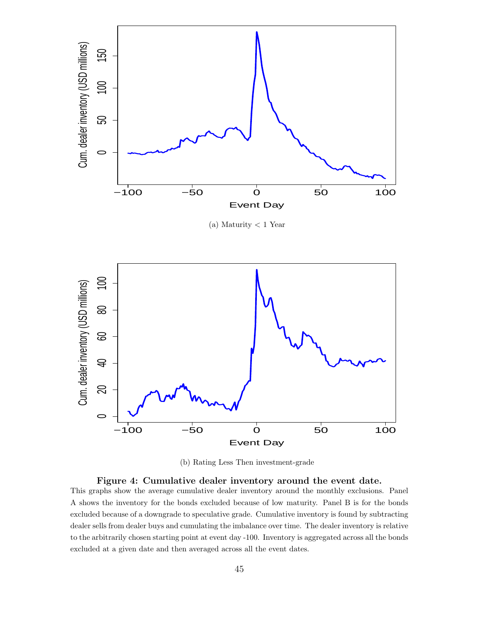

 $(a)$  Maturity  $<$  1 Year



(b) Rating Less Then investment-grade

### Figure 4: Cumulative dealer inventory around the event date. This graphs show the average cumulative dealer inventory around the monthly exclusions. Panel A shows the inventory for the bonds excluded because of low maturity. Panel B is for the bonds excluded because of a downgrade to speculative grade. Cumulative inventory is found by subtracting dealer sells from dealer buys and cumulating the imbalance over time. The dealer inventory is relative to the arbitrarily chosen starting point at event day -100. Inventory is aggregated across all the bonds excluded at a given date and then averaged across all the event dates.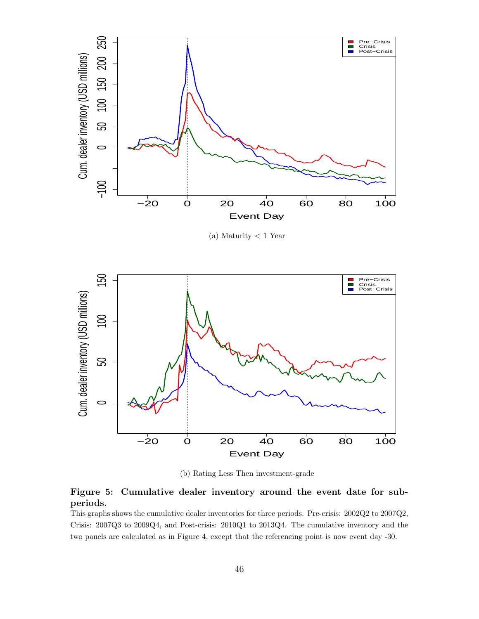

(a) Maturity < 1 Year



(b) Rating Less Then investment-grade

#### Figure 5: Cumulative dealer inventory around the event date for subperiods.

This graphs shows the cumulative dealer inventories for three periods. Pre-crisis: 2002Q2 to 2007Q2, Crisis: 2007Q3 to 2009Q4, and Post-crisis: 2010Q1 to 2013Q4. The cumulative inventory and the two panels are calculated as in Figure 4, except that the referencing point is now event day -30.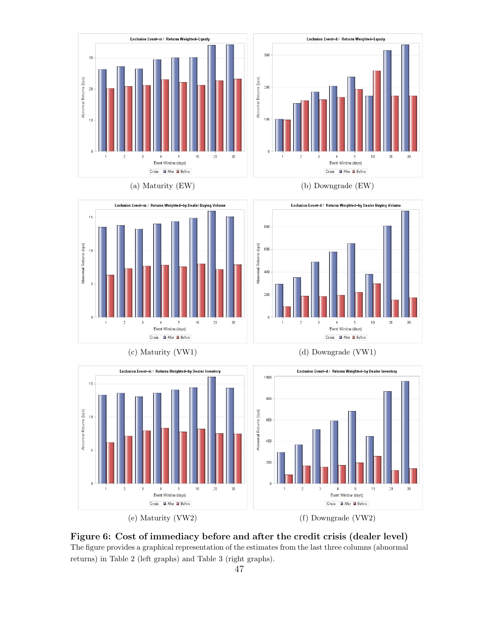





(a) Maturity (EW) (b) Downgrade (EW)





Figure 6: Cost of immediacy before and after the credit crisis (dealer level) The figure provides a graphical representation of the estimates from the last three columns (abnormal returns) in Table 2 (left graphs) and Table 3 (right graphs).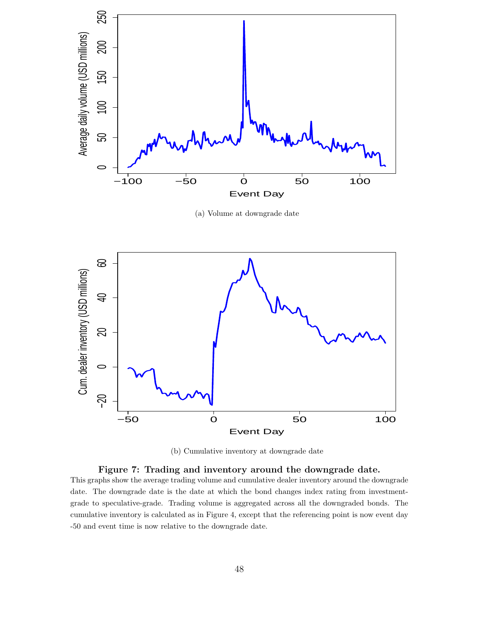

(a) Volume at downgrade date



(b) Cumulative inventory at downgrade date

#### Figure 7: Trading and inventory around the downgrade date.

This graphs show the average trading volume and cumulative dealer inventory around the downgrade date. The downgrade date is the date at which the bond changes index rating from investmentgrade to speculative-grade. Trading volume is aggregated across all the downgraded bonds. The cumulative inventory is calculated as in Figure 4, except that the referencing point is now event day -50 and event time is now relative to the downgrade date.